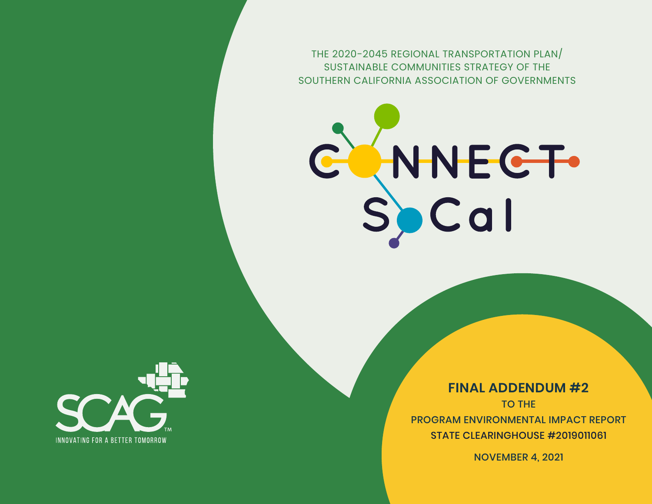THE 2020-2045 REGIONAL TRANSPORTATION PLAN/ SUSTAINABLE COMMUNITIES STRATEGY OF THE SOUTHERN CALIFORNIA ASSOCIATION OF GOVERNMENTS





**FINAL ADDENDUM #2** TO THE PROGRAM ENVIRONMENTAL IMPACT REPORT STATE CLEARINGHOUSE #2019011061

NOVEMBER 4, 2021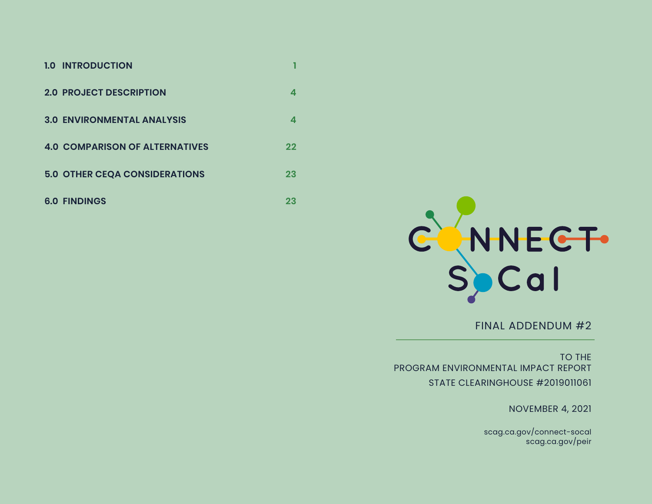| <b>1.0 INTRODUCTION</b>               |         |
|---------------------------------------|---------|
| <b>2.0 PROJECT DESCRIPTION</b>        |         |
| <b>3.0 ENVIRONMENTAL ANALYSIS</b>     | 4       |
| <b>4.0 COMPARISON OF ALTERNATIVES</b> | $22 \,$ |
| <b>5.0 OTHER CEQA CONSIDERATIONS</b>  | 23      |
| <b>6.0 FINDINGS</b>                   | 23      |



FINAL ADDENDUM #2

TO THE PROGRAM ENVIRONMENTAL IMPACT REPORT STATE CLEARINGHOUSE #2019011061

NOVEMBER 4, 2021

scag.ca.gov/connect-socal scag.ca.gov/peir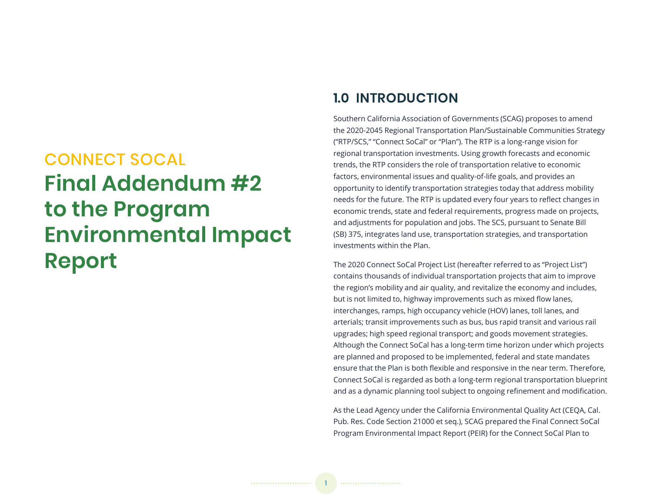# CONNECT SOCAL **Final Addendum #2 to the Program Environmental Impact Report**

# **1.0 INTRODUCTION**

Southern California Association of Governments (SCAG) proposes to amend the 2020-2045 Regional Transportation Plan/Sustainable Communities Strategy ("RTP/SCS," "Connect SoCal" or "Plan"). The RTP is a long-range vision for regional transportation investments. Using growth forecasts and economic trends, the RTP considers the role of transportation relative to economic factors, environmental issues and quality-of-life goals, and provides an opportunity to identify transportation strategies today that address mobility needs for the future. The RTP is updated every four years to reflect changes in economic trends, state and federal requirements, progress made on projects, and adjustments for population and jobs. The SCS, pursuant to Senate Bill (SB) 375, integrates land use, transportation strategies, and transportation investments within the Plan.

The 2020 Connect SoCal Project List (hereafter referred to as "Project List") contains thousands of individual transportation projects that aim to improve the region's mobility and air quality, and revitalize the economy and includes, but is not limited to, highway improvements such as mixed flow lanes, interchanges, ramps, high occupancy vehicle (HOV) lanes, toll lanes, and arterials; transit improvements such as bus, bus rapid transit and various rail upgrades; high speed regional transport; and goods movement strategies. Although the Connect SoCal has a long-term time horizon under which projects are planned and proposed to be implemented, federal and state mandates ensure that the Plan is both flexible and responsive in the near term. Therefore, Connect SoCal is regarded as both a long-term regional transportation blueprint and as a dynamic planning tool subject to ongoing refinement and modification.

As the Lead Agency under the California Environmental Quality Act (CEQA, Cal. Pub. Res. Code Section 21000 et seq.), SCAG prepared the Final Connect SoCal Program Environmental Impact Report (PEIR) for the Connect SoCal Plan to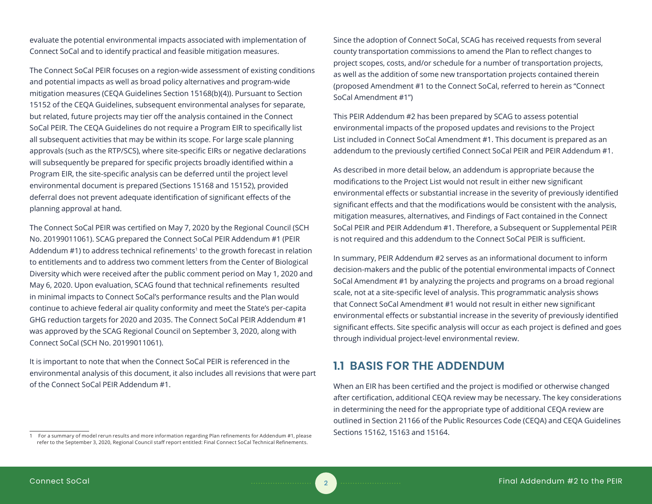evaluate the potential environmental impacts associated with implementation of Connect SoCal and to identify practical and feasible mitigation measures.

The Connect SoCal PEIR focuses on a region-wide assessment of existing conditions and potential impacts as well as broad policy alternatives and program-wide mitigation measures (CEQA Guidelines Section 15168(b)(4)). Pursuant to Section 15152 of the CEQA Guidelines, subsequent environmental analyses for separate, but related, future projects may tier off the analysis contained in the Connect SoCal PEIR. The CEQA Guidelines do not require a Program EIR to specifically list all subsequent activities that may be within its scope. For large scale planning approvals (such as the RTP/SCS), where site-specific EIRs or negative declarations will subsequently be prepared for specific projects broadly identified within a Program EIR, the site-specific analysis can be deferred until the project level environmental document is prepared (Sections 15168 and 15152), provided deferral does not prevent adequate identification of significant effects of the planning approval at hand.

The Connect SoCal PEIR was certified on May 7, 2020 by the Regional Council (SCH No. 20199011061). SCAG prepared the Connect SoCal PEIR Addendum #1 (PEIR Addendum #1) to address technical refinements<sup>1</sup> to the growth forecast in relation to entitlements and to address two comment letters from the Center of Biological Diversity which were received after the public comment period on May 1, 2020 and May 6, 2020. Upon evaluation, SCAG found that technical refinements resulted in minimal impacts to Connect SoCal's performance results and the Plan would continue to achieve federal air quality conformity and meet the State's per-capita GHG reduction targets for 2020 and 2035. The Connect SoCal PEIR Addendum #1 was approved by the SCAG Regional Council on September 3, 2020, along with Connect SoCal (SCH No. 20199011061).

It is important to note that when the Connect SoCal PEIR is referenced in the environmental analysis of this document, it also includes all revisions that were part of the Connect SoCal PEIR Addendum #1.

1 For a summary of model rerun results and more information regarding Plan refinements for Addendum #1, please refer to the September 3, 2020, Regional Council staff report entitled: Final Connect SoCal Technical Refinements.

Since the adoption of Connect SoCal, SCAG has received requests from several county transportation commissions to amend the Plan to reflect changes to project scopes, costs, and/or schedule for a number of transportation projects, as well as the addition of some new transportation projects contained therein (proposed Amendment #1 to the Connect SoCal, referred to herein as "Connect SoCal Amendment #1")

This PEIR Addendum #2 has been prepared by SCAG to assess potential environmental impacts of the proposed updates and revisions to the Project List included in Connect SoCal Amendment #1. This document is prepared as an addendum to the previously certified Connect SoCal PEIR and PEIR Addendum #1.

As described in more detail below, an addendum is appropriate because the modifications to the Project List would not result in either new significant environmental effects or substantial increase in the severity of previously identified significant effects and that the modifications would be consistent with the analysis, mitigation measures, alternatives, and Findings of Fact contained in the Connect SoCal PEIR and PEIR Addendum #1. Therefore, a Subsequent or Supplemental PEIR is not required and this addendum to the Connect SoCal PEIR is sufficient.

In summary, PEIR Addendum #2 serves as an informational document to inform decision-makers and the public of the potential environmental impacts of Connect SoCal Amendment #1 by analyzing the projects and programs on a broad regional scale, not at a site-specific level of analysis. This programmatic analysis shows that Connect SoCal Amendment #1 would not result in either new significant environmental effects or substantial increase in the severity of previously identified significant effects. Site specific analysis will occur as each project is defined and goes through individual project-level environmental review.

# **1.1 BASIS FOR THE ADDENDUM**

When an EIR has been certified and the project is modified or otherwise changed after certification, additional CEQA review may be necessary. The key considerations in determining the need for the appropriate type of additional CEQA review are outlined in Section 21166 of the Public Resources Code (CEQA) and CEQA Guidelines Sections 15162, 15163 and 15164.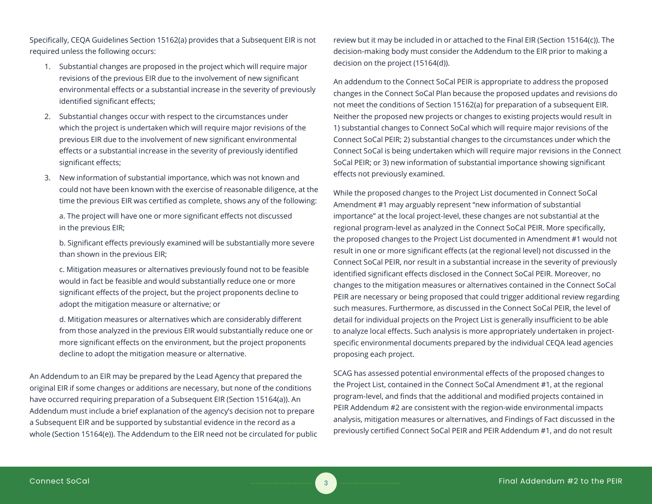Specifically, CEQA Guidelines Section 15162(a) provides that a Subsequent EIR is not required unless the following occurs:

- 1. Substantial changes are proposed in the project which will require major revisions of the previous EIR due to the involvement of new significant environmental effects or a substantial increase in the severity of previously identified significant effects;
- 2. Substantial changes occur with respect to the circumstances under which the project is undertaken which will require major revisions of the previous EIR due to the involvement of new significant environmental effects or a substantial increase in the severity of previously identified significant effects;
- 3. New information of substantial importance, which was not known and could not have been known with the exercise of reasonable diligence, at the time the previous EIR was certified as complete, shows any of the following:

a. The project will have one or more significant effects not discussed in the previous EIR;

b. Significant effects previously examined will be substantially more severe than shown in the previous EIR;

c. Mitigation measures or alternatives previously found not to be feasible would in fact be feasible and would substantially reduce one or more significant effects of the project, but the project proponents decline to adopt the mitigation measure or alternative; or

d. Mitigation measures or alternatives which are considerably different from those analyzed in the previous EIR would substantially reduce one or more significant effects on the environment, but the project proponents decline to adopt the mitigation measure or alternative.

An Addendum to an EIR may be prepared by the Lead Agency that prepared the original EIR if some changes or additions are necessary, but none of the conditions have occurred requiring preparation of a Subsequent EIR (Section 15164(a)). An Addendum must include a brief explanation of the agency's decision not to prepare a Subsequent EIR and be supported by substantial evidence in the record as a whole (Section 15164(e)). The Addendum to the EIR need not be circulated for public review but it may be included in or attached to the Final EIR (Section 15164(c)). The decision-making body must consider the Addendum to the EIR prior to making a decision on the project (15164(d)).

An addendum to the Connect SoCal PEIR is appropriate to address the proposed changes in the Connect SoCal Plan because the proposed updates and revisions do not meet the conditions of Section 15162(a) for preparation of a subsequent EIR. Neither the proposed new projects or changes to existing projects would result in 1) substantial changes to Connect SoCal which will require major revisions of the Connect SoCal PEIR; 2) substantial changes to the circumstances under which the Connect SoCal is being undertaken which will require major revisions in the Connect SoCal PEIR; or 3) new information of substantial importance showing significant effects not previously examined.

While the proposed changes to the Project List documented in Connect SoCal Amendment #1 may arguably represent "new information of substantial importance" at the local project-level, these changes are not substantial at the regional program-level as analyzed in the Connect SoCal PEIR. More specifically, the proposed changes to the Project List documented in Amendment #1 would not result in one or more significant effects (at the regional level) not discussed in the Connect SoCal PEIR, nor result in a substantial increase in the severity of previously identified significant effects disclosed in the Connect SoCal PEIR. Moreover, no changes to the mitigation measures or alternatives contained in the Connect SoCal PEIR are necessary or being proposed that could trigger additional review regarding such measures. Furthermore, as discussed in the Connect SoCal PEIR, the level of detail for individual projects on the Project List is generally insufficient to be able to analyze local effects. Such analysis is more appropriately undertaken in projectspecific environmental documents prepared by the individual CEQA lead agencies proposing each project.

SCAG has assessed potential environmental effects of the proposed changes to the Project List, contained in the Connect SoCal Amendment #1, at the regional program-level, and finds that the additional and modified projects contained in PEIR Addendum #2 are consistent with the region-wide environmental impacts analysis, mitigation measures or alternatives, and Findings of Fact discussed in the previously certified Connect SoCal PEIR and PEIR Addendum #1, and do not result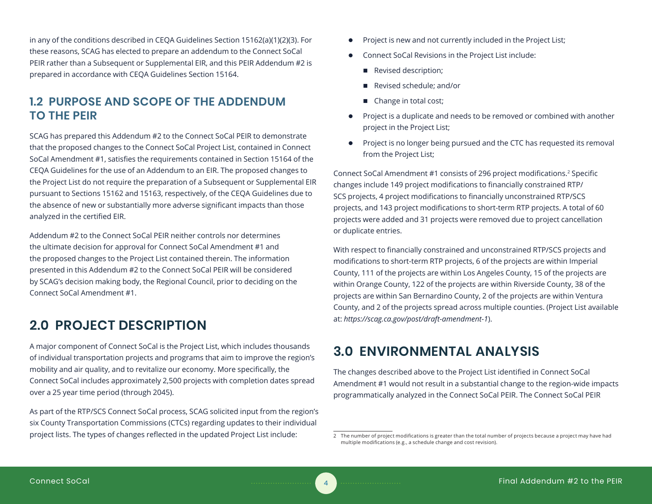in any of the conditions described in CEQA Guidelines Section 15162(a)(1)(2)(3). For these reasons, SCAG has elected to prepare an addendum to the Connect SoCal PEIR rather than a Subsequent or Supplemental EIR, and this PEIR Addendum #2 is prepared in accordance with CEQA Guidelines Section 15164.

# **1.2 PURPOSE AND SCOPE OF THE ADDENDUM TO THE PEIR**

SCAG has prepared this Addendum #2 to the Connect SoCal PEIR to demonstrate that the proposed changes to the Connect SoCal Project List, contained in Connect SoCal Amendment #1, satisfies the requirements contained in Section 15164 of the CEQA Guidelines for the use of an Addendum to an EIR. The proposed changes to the Project List do not require the preparation of a Subsequent or Supplemental EIR pursuant to Sections 15162 and 15163, respectively, of the CEQA Guidelines due to the absence of new or substantially more adverse significant impacts than those analyzed in the certified EIR.

Addendum #2 to the Connect SoCal PEIR neither controls nor determines the ultimate decision for approval for Connect SoCal Amendment #1 and the proposed changes to the Project List contained therein. The information presented in this Addendum #2 to the Connect SoCal PEIR will be considered by SCAG's decision making body, the Regional Council, prior to deciding on the Connect SoCal Amendment #1.

# **2.0 PROJECT DESCRIPTION**

A major component of Connect SoCal is the Project List, which includes thousands of individual transportation projects and programs that aim to improve the region's mobility and air quality, and to revitalize our economy. More specifically, the Connect SoCal includes approximately 2,500 projects with completion dates spread over a 25 year time period (through 2045).

As part of the RTP/SCS Connect SoCal process, SCAG solicited input from the region's six County Transportation Commissions (CTCs) regarding updates to their individual project lists. The types of changes reflected in the updated Project List include:

- Project is new and not currently included in the Project List;
- Connect SoCal Revisions in the Project List include:
	- Revised description;
	- Revised schedule; and/or
	- Change in total cost;
- Project is a duplicate and needs to be removed or combined with another project in the Project List;
- Project is no longer being pursued and the CTC has requested its removal from the Project List;

Connect SoCal Amendment #1 consists of 296 project modifications.<sup>2</sup> Specific changes include 149 project modifications to financially constrained RTP/ SCS projects, 4 project modifications to financially unconstrained RTP/SCS projects, and 143 project modifications to short-term RTP projects. A total of 60 projects were added and 31 projects were removed due to project cancellation or duplicate entries.

With respect to financially constrained and unconstrained RTP/SCS projects and modifications to short-term RTP projects, 6 of the projects are within Imperial County, 111 of the projects are within Los Angeles County, 15 of the projects are within Orange County, 122 of the projects are within Riverside County, 38 of the projects are within San Bernardino County, 2 of the projects are within Ventura County, and 2 of the projects spread across multiple counties. (Project List available at: *https://scag.ca.gov/post/draft-amendment-1*).

# **3.0 ENVIRONMENTAL ANALYSIS**

The changes described above to the Project List identified in Connect SoCal Amendment #1 would not result in a substantial change to the region-wide impacts programmatically analyzed in the Connect SoCal PEIR. The Connect SoCal PEIR

<sup>2</sup> The number of project modifications is greater than the total number of projects because a project may have had multiple modifications (e.g., a schedule change and cost revision).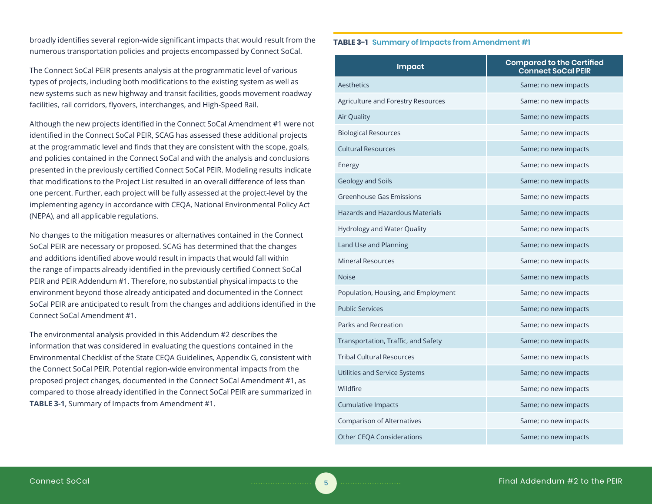broadly identifies several region-wide significant impacts that would result from the numerous transportation policies and projects encompassed by Connect SoCal.

The Connect SoCal PEIR presents analysis at the programmatic level of various types of projects, including both modifications to the existing system as well as new systems such as new highway and transit facilities, goods movement roadway facilities, rail corridors, flyovers, interchanges, and High-Speed Rail.

Although the new projects identified in the Connect SoCal Amendment #1 were not identified in the Connect SoCal PEIR, SCAG has assessed these additional projects at the programmatic level and finds that they are consistent with the scope, goals, and policies contained in the Connect SoCal and with the analysis and conclusions presented in the previously certified Connect SoCal PEIR. Modeling results indicate that modifications to the Project List resulted in an overall difference of less than one percent. Further, each project will be fully assessed at the project-level by the implementing agency in accordance with CEQA, National Environmental Policy Act (NEPA), and all applicable regulations.

No changes to the mitigation measures or alternatives contained in the Connect SoCal PEIR are necessary or proposed. SCAG has determined that the changes and additions identified above would result in impacts that would fall within the range of impacts already identified in the previously certified Connect SoCal PEIR and PEIR Addendum #1. Therefore, no substantial physical impacts to the environment beyond those already anticipated and documented in the Connect SoCal PEIR are anticipated to result from the changes and additions identified in the Connect SoCal Amendment #1.

The environmental analysis provided in this Addendum #2 describes the information that was considered in evaluating the questions contained in the Environmental Checklist of the State CEQA Guidelines, Appendix G, consistent with the Connect SoCal PEIR. Potential region-wide environmental impacts from the proposed project changes, documented in the Connect SoCal Amendment #1, as compared to those already identified in the Connect SoCal PEIR are summarized in **TABLE 3-1**, Summary of Impacts from Amendment #1.

#### **TABLE 3-1 Summary of Impacts from Amendment #1**

| <b>Impact</b>                          | <b>Compared to the Certified</b><br><b>Connect SoCal PEIR</b> |
|----------------------------------------|---------------------------------------------------------------|
| Aesthetics                             | Same; no new impacts                                          |
| Agriculture and Forestry Resources     | Same; no new impacts                                          |
| <b>Air Quality</b>                     | Same; no new impacts                                          |
| <b>Biological Resources</b>            | Same; no new impacts                                          |
| <b>Cultural Resources</b>              | Same; no new impacts                                          |
| Energy                                 | Same; no new impacts                                          |
| Geology and Soils                      | Same; no new impacts                                          |
| <b>Greenhouse Gas Emissions</b>        | Same; no new impacts                                          |
| <b>Hazards and Hazardous Materials</b> | Same; no new impacts                                          |
| <b>Hydrology and Water Quality</b>     | Same; no new impacts                                          |
| Land Use and Planning                  | Same; no new impacts                                          |
| <b>Mineral Resources</b>               | Same; no new impacts                                          |
| <b>Noise</b>                           | Same; no new impacts                                          |
| Population, Housing, and Employment    | Same; no new impacts                                          |
| <b>Public Services</b>                 | Same; no new impacts                                          |
| Parks and Recreation                   | Same; no new impacts                                          |
| Transportation, Traffic, and Safety    | Same; no new impacts                                          |
| <b>Tribal Cultural Resources</b>       | Same; no new impacts                                          |
| Utilities and Service Systems          | Same; no new impacts                                          |
| Wildfire                               | Same; no new impacts                                          |
| <b>Cumulative Impacts</b>              | Same; no new impacts                                          |
| <b>Comparison of Alternatives</b>      | Same; no new impacts                                          |
| <b>Other CEQA Considerations</b>       | Same; no new impacts                                          |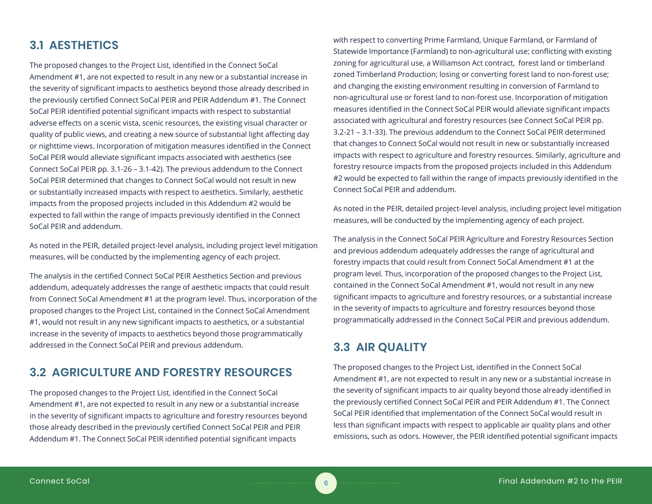# **3.1 AESTHETICS**

The proposed changes to the Project List, identified in the Connect SoCal Amendment #1, are not expected to result in any new or a substantial increase in the severity of significant impacts to aesthetics beyond those already described in the previously certified Connect SoCal PEIR and PEIR Addendum #1. The Connect SoCal PEIR identified potential significant impacts with respect to substantial adverse effects on a scenic vista, scenic resources, the existing visual character or quality of public views, and creating a new source of substantial light affecting day or nighttime views. Incorporation of mitigation measures identified in the Connect SoCal PEIR would alleviate significant impacts associated with aesthetics (see Connect SoCal PEIR pp. 3.1-26 – 3.1-42). The previous addendum to the Connect SoCal PEIR determined that changes to Connect SoCal would not result in new or substantially increased impacts with respect to aesthetics. Similarly, aesthetic impacts from the proposed projects included in this Addendum #2 would be expected to fall within the range of impacts previously identified in the Connect SoCal PEIR and addendum.

As noted in the PEIR, detailed project-level analysis, including project level mitigation measures, will be conducted by the implementing agency of each project.

The analysis in the certified Connect SoCal PEIR Aesthetics Section and previous addendum, adequately addresses the range of aesthetic impacts that could result from Connect SoCal Amendment #1 at the program level. Thus, incorporation of the proposed changes to the Project List, contained in the Connect SoCal Amendment #1, would not result in any new significant impacts to aesthetics, or a substantial increase in the severity of impacts to aesthetics beyond those programmatically addressed in the Connect SoCal PEIR and previous addendum.

# **3.2 AGRICULTURE AND FORESTRY RESOURCES**

The proposed changes to the Project List, identified in the Connect SoCal Amendment #1, are not expected to result in any new or a substantial increase in the severity of significant impacts to agriculture and forestry resources beyond those already described in the previously certified Connect SoCal PEIR and PEIR Addendum #1. The Connect SoCal PEIR identified potential significant impacts

with respect to converting Prime Farmland, Unique Farmland, or Farmland of Statewide Importance (Farmland) to non-agricultural use; conflicting with existing zoning for agricultural use, a Williamson Act contract, forest land or timberland zoned Timberland Production; losing or converting forest land to non-forest use; and changing the existing environment resulting in conversion of Farmland to non-agricultural use or forest land to non-forest use. Incorporation of mitigation measures identified in the Connect SoCal PEIR would alleviate significant impacts associated with agricultural and forestry resources (see Connect SoCal PEIR pp. 3.2-21 – 3.1-33). The previous addendum to the Connect SoCal PEIR determined that changes to Connect SoCal would not result in new or substantially increased impacts with respect to agriculture and forestry resources. Similarly, agriculture and forestry resource impacts from the proposed projects included in this Addendum #2 would be expected to fall within the range of impacts previously identified in the Connect SoCal PEIR and addendum.

As noted in the PEIR, detailed project-level analysis, including project level mitigation measures, will be conducted by the implementing agency of each project.

The analysis in the Connect SoCal PEIR Agriculture and Forestry Resources Section and previous addendum adequately addresses the range of agricultural and forestry impacts that could result from Connect SoCal Amendment #1 at the program level. Thus, incorporation of the proposed changes to the Project List, contained in the Connect SoCal Amendment #1, would not result in any new significant impacts to agriculture and forestry resources, or a substantial increase in the severity of impacts to agriculture and forestry resources beyond those programmatically addressed in the Connect SoCal PEIR and previous addendum.

# **3.3 AIR QUALITY**

The proposed changes to the Project List, identified in the Connect SoCal Amendment #1, are not expected to result in any new or a substantial increase in the severity of significant impacts to air quality beyond those already identified in the previously certified Connect SoCal PEIR and PEIR Addendum #1. The Connect SoCal PEIR identified that implementation of the Connect SoCal would result in less than significant impacts with respect to applicable air quality plans and other emissions, such as odors. However, the PEIR identified potential significant impacts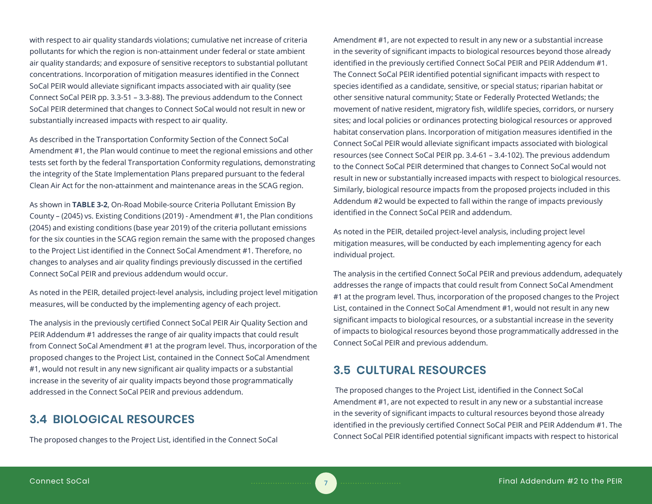with respect to air quality standards violations; cumulative net increase of criteria pollutants for which the region is non-attainment under federal or state ambient air quality standards; and exposure of sensitive receptors to substantial pollutant concentrations. Incorporation of mitigation measures identified in the Connect SoCal PEIR would alleviate significant impacts associated with air quality (see Connect SoCal PEIR pp. 3.3-51 – 3.3-88). The previous addendum to the Connect SoCal PEIR determined that changes to Connect SoCal would not result in new or substantially increased impacts with respect to air quality.

As described in the Transportation Conformity Section of the Connect SoCal Amendment #1, the Plan would continue to meet the regional emissions and other tests set forth by the federal Transportation Conformity regulations, demonstrating the integrity of the State Implementation Plans prepared pursuant to the federal Clean Air Act for the non-attainment and maintenance areas in the SCAG region.

As shown in **TABLE 3-2**, On-Road Mobile-source Criteria Pollutant Emission By County – (2045) vs. Existing Conditions (2019) - Amendment #1, the Plan conditions (2045) and existing conditions (base year 2019) of the criteria pollutant emissions for the six counties in the SCAG region remain the same with the proposed changes to the Project List identified in the Connect SoCal Amendment #1. Therefore, no changes to analyses and air quality findings previously discussed in the certified Connect SoCal PEIR and previous addendum would occur.

As noted in the PEIR, detailed project-level analysis, including project level mitigation measures, will be conducted by the implementing agency of each project.

The analysis in the previously certified Connect SoCal PEIR Air Quality Section and PEIR Addendum #1 addresses the range of air quality impacts that could result from Connect SoCal Amendment #1 at the program level. Thus, incorporation of the proposed changes to the Project List, contained in the Connect SoCal Amendment #1, would not result in any new significant air quality impacts or a substantial increase in the severity of air quality impacts beyond those programmatically addressed in the Connect SoCal PEIR and previous addendum.

# **3.4 BIOLOGICAL RESOURCES**

The proposed changes to the Project List, identified in the Connect SoCal

Amendment #1, are not expected to result in any new or a substantial increase in the severity of significant impacts to biological resources beyond those already identified in the previously certified Connect SoCal PEIR and PEIR Addendum #1. The Connect SoCal PEIR identified potential significant impacts with respect to species identified as a candidate, sensitive, or special status; riparian habitat or other sensitive natural community; State or Federally Protected Wetlands; the movement of native resident, migratory fish, wildlife species, corridors, or nursery sites; and local policies or ordinances protecting biological resources or approved habitat conservation plans. Incorporation of mitigation measures identified in the Connect SoCal PEIR would alleviate significant impacts associated with biological resources (see Connect SoCal PEIR pp. 3.4-61 – 3.4-102). The previous addendum to the Connect SoCal PEIR determined that changes to Connect SoCal would not result in new or substantially increased impacts with respect to biological resources. Similarly, biological resource impacts from the proposed projects included in this Addendum #2 would be expected to fall within the range of impacts previously identified in the Connect SoCal PEIR and addendum.

As noted in the PEIR, detailed project-level analysis, including project level mitigation measures, will be conducted by each implementing agency for each individual project.

The analysis in the certified Connect SoCal PEIR and previous addendum, adequately addresses the range of impacts that could result from Connect SoCal Amendment #1 at the program level. Thus, incorporation of the proposed changes to the Project List, contained in the Connect SoCal Amendment #1, would not result in any new significant impacts to biological resources, or a substantial increase in the severity of impacts to biological resources beyond those programmatically addressed in the Connect SoCal PEIR and previous addendum.

# **3.5 CULTURAL RESOURCES**

 The proposed changes to the Project List, identified in the Connect SoCal Amendment #1, are not expected to result in any new or a substantial increase in the severity of significant impacts to cultural resources beyond those already identified in the previously certified Connect SoCal PEIR and PEIR Addendum #1. The Connect SoCal PEIR identified potential significant impacts with respect to historical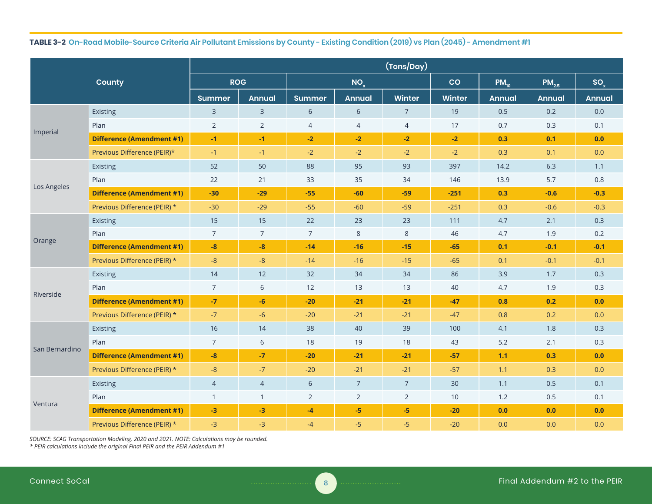# **TABLE 3-2 On-Road Mobile-Source Criteria Air Pollutant Emissions by County - Existing Condition (2019) vs Plan (2045) - Amendment #1**

|                |                                  | (Tons/Day)     |                |                |                 |                |                |               |               |               |
|----------------|----------------------------------|----------------|----------------|----------------|-----------------|----------------|----------------|---------------|---------------|---------------|
|                | County                           | <b>ROG</b>     |                |                | NO <sub>x</sub> |                | $\overline{c}$ | $PM_{10}$     | $PM_{2.5}$    | $SO_{x}$      |
|                |                                  | <b>Summer</b>  | <b>Annual</b>  | <b>Summer</b>  | <b>Annual</b>   | Winter         | Winter         | <b>Annual</b> | <b>Annual</b> | <b>Annual</b> |
|                | Existing                         | $\overline{3}$ | $\mathbf{3}$   | 6              | 6               | $\overline{7}$ | 19             | 0.5           | 0.2           | 0.0           |
|                | Plan                             | $\overline{2}$ | $\overline{2}$ | $\overline{4}$ | $\overline{4}$  | $\overline{4}$ | 17             | 0.7           | 0.3           | 0.1           |
| Imperial       | <b>Difference (Amendment #1)</b> | $-1$           | $-1$           | $-2$           | $-2$            | $-2$           | $-2$           | 0.3           | 0.1           | 0.0           |
|                | Previous Difference (PEIR)*      | $-1$           | $-1$           | $-2$           | $-2$            | $-2$           | $-2$           | 0.3           | 0.1           | 0.0           |
|                | Existing                         | 52             | 50             | 88             | 95              | 93             | 397            | 14.2          | 6.3           | 1.1           |
| Los Angeles    | Plan                             | 22             | 21             | 33             | 35              | 34             | 146            | 13.9          | 5.7           | 0.8           |
|                | <b>Difference (Amendment #1)</b> | $-30$          | $-29$          | $-55$          | $-60$           | $-59$          | $-251$         | 0.3           | $-0.6$        | $-0.3$        |
|                | Previous Difference (PEIR) *     | $-30$          | $-29$          | $-55$          | $-60$           | $-59$          | $-251$         | 0.3           | $-0.6$        | $-0.3$        |
|                | Existing                         | 15             | 15             | 22             | 23              | 23             | 111            | 4.7           | 2.1           | 0.3           |
|                | Plan                             | $\overline{7}$ | $\overline{7}$ | $\overline{7}$ | 8               | $\,8\,$        | 46             | 4.7           | 1.9           | 0.2           |
| Orange         | <b>Difference (Amendment #1)</b> | $-8$           | $-8$           | $-14$          | $-16$           | $-15$          | $-65$          | 0.1           | $-0.1$        | $-0.1$        |
|                | Previous Difference (PEIR) *     | $-8$           | $-8$           | $-14$          | $-16$           | $-15$          | $-65$          | 0.1           | $-0.1$        | $-0.1$        |
|                | Existing                         | 14             | 12             | 32             | 34              | 34             | 86             | 3.9           | 1.7           | 0.3           |
| Riverside      | Plan                             | $\overline{7}$ | 6              | 12             | 13              | 13             | 40             | 4.7           | 1.9           | 0.3           |
|                | <b>Difference (Amendment #1)</b> | $-7$           | $-6$           | $-20$          | $-21$           | $-21$          | $-47$          | 0.8           | 0.2           | 0.0           |
|                | Previous Difference (PEIR) *     | $-7$           | $-6$           | $-20$          | $-21$           | $-21$          | $-47$          | 0.8           | 0.2           | 0.0           |
|                | Existing                         | 16             | 14             | 38             | 40              | 39             | 100            | 4.1           | 1.8           | 0.3           |
| San Bernardino | Plan                             | $\overline{7}$ | 6              | 18             | 19              | 18             | 43             | 5.2           | 2.1           | 0.3           |
|                | <b>Difference (Amendment #1)</b> | $-8$           | $-7$           | $-20$          | $-21$           | $-21$          | $-57$          | 1.1           | 0.3           | 0.0           |
|                | Previous Difference (PEIR) *     | $-8$           | $-7$           | $-20$          | $-21$           | $-21$          | $-57$          | 1.1           | 0.3           | 0.0           |
|                | Existing                         | $\overline{4}$ | $\overline{4}$ | 6              | $\overline{7}$  | $\overline{7}$ | 30             | 1.1           | 0.5           | 0.1           |
|                | Plan                             | $\mathbf{1}$   | $\mathbf{1}$   | $\overline{2}$ | $\overline{2}$  | $\overline{2}$ | 10             | 1.2           | 0.5           | 0.1           |
| Ventura        | <b>Difference (Amendment #1)</b> | $-3$           | $-3$           | $-4$           | $-5$            | $-5$           | $-20$          | 0.0           | 0.0           | 0.0           |
|                | Previous Difference (PEIR) *     | $-3$           | $-3$           | $-4$           | $-5$            | $-5$           | $-20$          | 0.0           | 0.0           | 0.0           |

*SOURCE: SCAG Transportation Modeling, 2020 and 2021. NOTE: Calculations may be rounded. \* PEIR calculations include the original Final PEIR and the PEIR Addendum #1*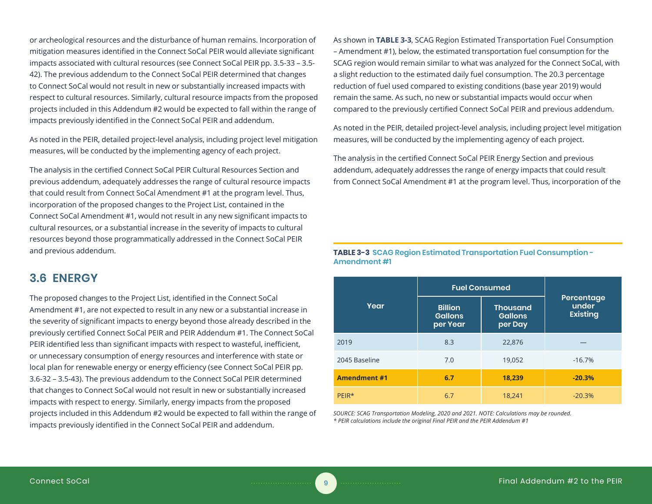or archeological resources and the disturbance of human remains. Incorporation of mitigation measures identified in the Connect SoCal PEIR would alleviate significant impacts associated with cultural resources (see Connect SoCal PEIR pp. 3.5-33 – 3.5- 42). The previous addendum to the Connect SoCal PEIR determined that changes to Connect SoCal would not result in new or substantially increased impacts with respect to cultural resources. Similarly, cultural resource impacts from the proposed projects included in this Addendum #2 would be expected to fall within the range of impacts previously identified in the Connect SoCal PEIR and addendum.

As noted in the PEIR, detailed project-level analysis, including project level mitigation measures, will be conducted by the implementing agency of each project.

The analysis in the certified Connect SoCal PEIR Cultural Resources Section and previous addendum, adequately addresses the range of cultural resource impacts that could result from Connect SoCal Amendment #1 at the program level. Thus, incorporation of the proposed changes to the Project List, contained in the Connect SoCal Amendment #1, would not result in any new significant impacts to cultural resources, or a substantial increase in the severity of impacts to cultural resources beyond those programmatically addressed in the Connect SoCal PEIR and previous addendum.

# **3.6 ENERGY**

The proposed changes to the Project List, identified in the Connect SoCal Amendment #1, are not expected to result in any new or a substantial increase in the severity of significant impacts to energy beyond those already described in the previously certified Connect SoCal PEIR and PEIR Addendum #1. The Connect SoCal PEIR identified less than significant impacts with respect to wasteful, inefficient, or unnecessary consumption of energy resources and interference with state or local plan for renewable energy or energy efficiency (see Connect SoCal PEIR pp. 3.6-32 – 3.5-43). The previous addendum to the Connect SoCal PEIR determined that changes to Connect SoCal would not result in new or substantially increased impacts with respect to energy. Similarly, energy impacts from the proposed projects included in this Addendum #2 would be expected to fall within the range of impacts previously identified in the Connect SoCal PEIR and addendum.

As shown in **TABLE 3-3**, SCAG Region Estimated Transportation Fuel Consumption – Amendment #1), below, the estimated transportation fuel consumption for the SCAG region would remain similar to what was analyzed for the Connect SoCal, with a slight reduction to the estimated daily fuel consumption. The 20.3 percentage reduction of fuel used compared to existing conditions (base year 2019) would remain the same. As such, no new or substantial impacts would occur when compared to the previously certified Connect SoCal PEIR and previous addendum.

As noted in the PEIR, detailed project-level analysis, including project level mitigation measures, will be conducted by the implementing agency of each project.

The analysis in the certified Connect SoCal PEIR Energy Section and previous addendum, adequately addresses the range of energy impacts that could result from Connect SoCal Amendment #1 at the program level. Thus, incorporation of the

**TABLE 3-3 SCAG Region Estimated Transportation Fuel Consumption - Amendment #1**

|                     | <b>Fuel Consumed</b>                         |                                              |                                        |  |
|---------------------|----------------------------------------------|----------------------------------------------|----------------------------------------|--|
| Year                | <b>Billion</b><br><b>Gallons</b><br>per Year | <b>Thousand</b><br><b>Gallons</b><br>per Day | Percentage<br>under<br><b>Existing</b> |  |
| 2019                | 8.3                                          | 22,876                                       |                                        |  |
| 2045 Baseline       | 7.0                                          | 19,052                                       | $-16.7%$                               |  |
| <b>Amendment #1</b> | 6.7                                          | 18,239                                       | $-20.3%$                               |  |
| PFIR*               | 6.7                                          | 18,241                                       | $-20.3%$                               |  |

*SOURCE: SCAG Transportation Modeling, 2020 and 2021. NOTE: Calculations may be rounded. \* PEIR calculations include the original Final PEIR and the PEIR Addendum #1*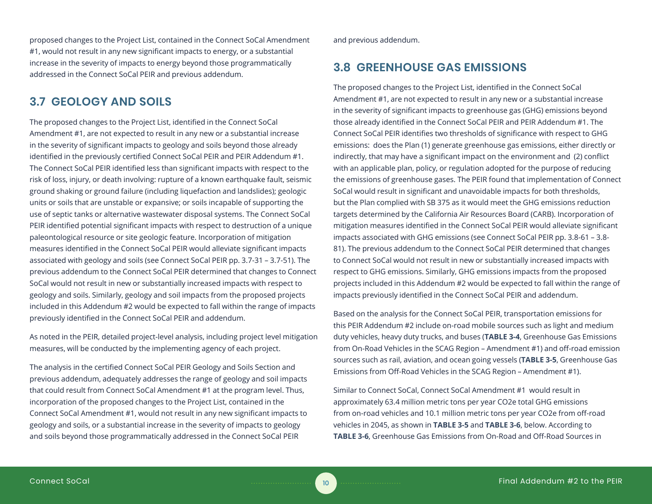proposed changes to the Project List, contained in the Connect SoCal Amendment #1, would not result in any new significant impacts to energy, or a substantial increase in the severity of impacts to energy beyond those programmatically addressed in the Connect SoCal PEIR and previous addendum.

# **3.7 GEOLOGY AND SOILS**

The proposed changes to the Project List, identified in the Connect SoCal Amendment #1, are not expected to result in any new or a substantial increase in the severity of significant impacts to geology and soils beyond those already identified in the previously certified Connect SoCal PEIR and PEIR Addendum #1. The Connect SoCal PEIR identified less than significant impacts with respect to the risk of loss, injury, or death involving: rupture of a known earthquake fault, seismic ground shaking or ground failure (including liquefaction and landslides); geologic units or soils that are unstable or expansive; or soils incapable of supporting the use of septic tanks or alternative wastewater disposal systems. The Connect SoCal PEIR identified potential significant impacts with respect to destruction of a unique paleontological resource or site geologic feature. Incorporation of mitigation measures identified in the Connect SoCal PEIR would alleviate significant impacts associated with geology and soils (see Connect SoCal PEIR pp. 3.7-31 – 3.7-51). The previous addendum to the Connect SoCal PEIR determined that changes to Connect SoCal would not result in new or substantially increased impacts with respect to geology and soils. Similarly, geology and soil impacts from the proposed projects included in this Addendum #2 would be expected to fall within the range of impacts previously identified in the Connect SoCal PEIR and addendum.

As noted in the PEIR, detailed project-level analysis, including project level mitigation measures, will be conducted by the implementing agency of each project.

The analysis in the certified Connect SoCal PEIR Geology and Soils Section and previous addendum, adequately addresses the range of geology and soil impacts that could result from Connect SoCal Amendment #1 at the program level. Thus, incorporation of the proposed changes to the Project List, contained in the Connect SoCal Amendment #1, would not result in any new significant impacts to geology and soils, or a substantial increase in the severity of impacts to geology and soils beyond those programmatically addressed in the Connect SoCal PEIR

and previous addendum.

# **3.8 GREENHOUSE GAS EMISSIONS**

The proposed changes to the Project List, identified in the Connect SoCal Amendment #1, are not expected to result in any new or a substantial increase in the severity of significant impacts to greenhouse gas (GHG) emissions beyond those already identified in the Connect SoCal PEIR and PEIR Addendum #1. The Connect SoCal PEIR identifies two thresholds of significance with respect to GHG emissions: does the Plan (1) generate greenhouse gas emissions, either directly or indirectly, that may have a significant impact on the environment and (2) conflict with an applicable plan, policy, or regulation adopted for the purpose of reducing the emissions of greenhouse gases. The PEIR found that implementation of Connect SoCal would result in significant and unavoidable impacts for both thresholds, but the Plan complied with SB 375 as it would meet the GHG emissions reduction targets determined by the California Air Resources Board (CARB). Incorporation of mitigation measures identified in the Connect SoCal PEIR would alleviate significant impacts associated with GHG emissions (see Connect SoCal PEIR pp. 3.8-61 – 3.8- 81). The previous addendum to the Connect SoCal PEIR determined that changes to Connect SoCal would not result in new or substantially increased impacts with respect to GHG emissions. Similarly, GHG emissions impacts from the proposed projects included in this Addendum #2 would be expected to fall within the range of impacts previously identified in the Connect SoCal PEIR and addendum.

Based on the analysis for the Connect SoCal PEIR, transportation emissions for this PEIR Addendum #2 include on-road mobile sources such as light and medium duty vehicles, heavy duty trucks, and buses (**TABLE 3-4**, Greenhouse Gas Emissions from On-Road Vehicles in the SCAG Region – Amendment #1) and off-road emission sources such as rail, aviation, and ocean going vessels (**TABLE 3-5**, Greenhouse Gas Emissions from Off-Road Vehicles in the SCAG Region – Amendment #1).

Similar to Connect SoCal, Connect SoCal Amendment #1 would result in approximately 63.4 million metric tons per year CO2e total GHG emissions from on-road vehicles and 10.1 million metric tons per year CO2e from off-road vehicles in 2045, as shown in **TABLE 3-5** and **TABLE 3-6**, below. According to **TABLE 3-6**, Greenhouse Gas Emissions from On-Road and Off-Road Sources in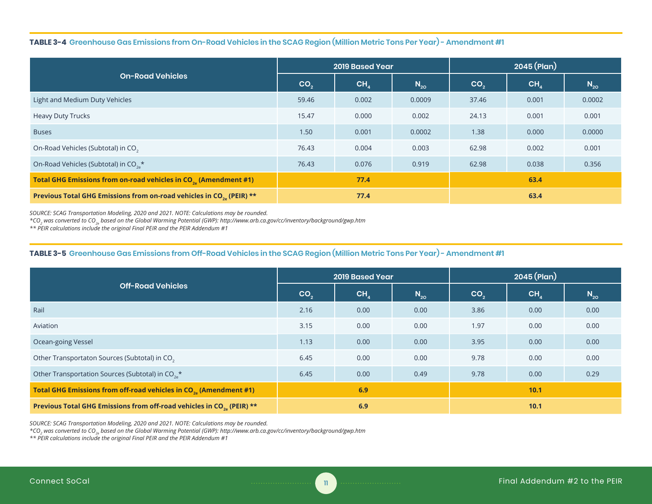#### **TABLE 3-4 Greenhouse Gas Emissions from On-Road Vehicles in the SCAG Region (Million Metric Tons Per Year) - Amendment #1**

|                                                                                  | <b>2019 Based Year</b> |                 |          | $2045$ (Plan)   |                 |          |
|----------------------------------------------------------------------------------|------------------------|-----------------|----------|-----------------|-----------------|----------|
| <b>On-Road Vehicles</b>                                                          | CO <sub>2</sub>        | CH <sub>4</sub> | $N_{20}$ | CO <sub>2</sub> | CH <sub>4</sub> | $N_{20}$ |
| Light and Medium Duty Vehicles                                                   | 59.46                  | 0.002           | 0.0009   | 37.46           | 0.001           | 0.0002   |
| <b>Heavy Duty Trucks</b>                                                         | 15.47                  | 0.000           | 0.002    | 24.13           | 0.001           | 0.001    |
| <b>Buses</b>                                                                     | 1.50                   | 0.001           | 0.0002   | 1.38            | 0.000           | 0.0000   |
| On-Road Vehicles (Subtotal) in CO <sub>2</sub>                                   | 76.43                  | 0.004           | 0.003    | 62.98           | 0.002           | 0.001    |
| On-Road Vehicles (Subtotal) in CO <sub>2</sub> <sup>*</sup>                      | 76.43                  | 0.076           | 0.919    | 62.98           | 0.038           | 0.356    |
| Total GHG Emissions from on-road vehicles in CO <sub>2</sub> (Amendment #1)      | 77.4                   |                 |          | 63.4            |                 |          |
| Previous Total GHG Emissions from on-road vehicles in CO <sub>20</sub> (PEIR) ** | 77.4                   |                 |          | 63.4            |                 |          |

*SOURCE: SCAG Transportation Modeling, 2020 and 2021. NOTE: Calculations may be rounded.* 

*\*CO2 was converted to CO2e based on the Global Warming Potential (GWP): http://www.arb.ca.gov/cc/inventory/background/gwp.htm*

*\*\* PEIR calculations include the original Final PEIR and the PEIR Addendum #1*

### **TABLE 3-5 Greenhouse Gas Emissions from Off-Road Vehicles in the SCAG Region (Million Metric Tons Per Year) - Amendment #1**

|                                                                                   | <b>2019 Based Year</b> |                 |          | $2045$ (Plan)   |                 |          |
|-----------------------------------------------------------------------------------|------------------------|-----------------|----------|-----------------|-----------------|----------|
| <b>Off-Road Vehicles</b>                                                          | CO <sub>2</sub>        | CH <sub>a</sub> | $N_{20}$ | CO <sub>2</sub> | CH <sub>4</sub> | $N_{20}$ |
| Rail                                                                              | 2.16                   | 0.00            | 0.00     | 3.86            | 0.00            | 0.00     |
| Aviation                                                                          | 3.15                   | 0.00            | 0.00     | 1.97            | 0.00            | 0.00     |
| Ocean-going Vessel                                                                | 1.13                   | 0.00            | 0.00     | 3.95            | 0.00            | 0.00     |
| Other Transportaton Sources (Subtotal) in CO <sub>2</sub>                         | 6.45                   | 0.00            | 0.00     | 9.78            | 0.00            | 0.00     |
| Other Transportation Sources (Subtotal) in CO <sub>2</sub> <sup>*</sup>           | 6.45                   | 0.00            | 0.49     | 9.78            | 0.00            | 0.29     |
| Total GHG Emissions from off-road vehicles in CO <sub>2</sub> (Amendment #1)      | 6.9                    |                 |          | 10.1            |                 |          |
| Previous Total GHG Emissions from off-road vehicles in CO <sub>20</sub> (PEIR) ** | 6.9                    |                 |          | 10.1            |                 |          |

*SOURCE: SCAG Transportation Modeling, 2020 and 2021. NOTE: Calculations may be rounded.* 

*\*CO2 was converted to CO2e based on the Global Warming Potential (GWP): http://www.arb.ca.gov/cc/inventory/background/gwp.htm*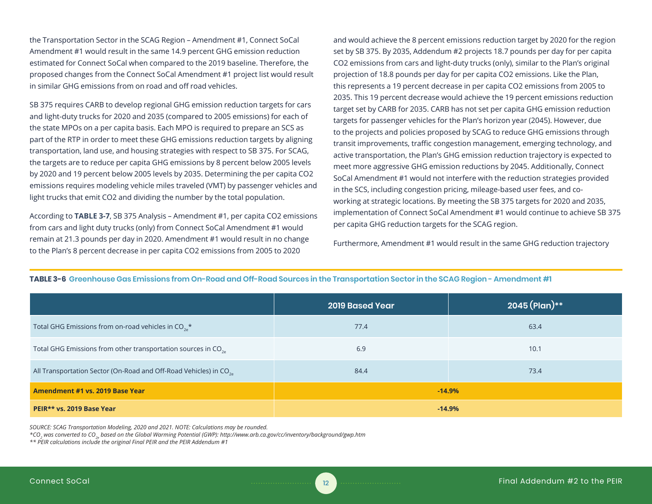the Transportation Sector in the SCAG Region – Amendment #1, Connect SoCal Amendment #1 would result in the same 14.9 percent GHG emission reduction estimated for Connect SoCal when compared to the 2019 baseline. Therefore, the proposed changes from the Connect SoCal Amendment #1 project list would result in similar GHG emissions from on road and off road vehicles.

SB 375 requires CARB to develop regional GHG emission reduction targets for cars and light-duty trucks for 2020 and 2035 (compared to 2005 emissions) for each of the state MPOs on a per capita basis. Each MPO is required to prepare an SCS as part of the RTP in order to meet these GHG emissions reduction targets by aligning transportation, land use, and housing strategies with respect to SB 375. For SCAG, the targets are to reduce per capita GHG emissions by 8 percent below 2005 levels by 2020 and 19 percent below 2005 levels by 2035. Determining the per capita CO2 emissions requires modeling vehicle miles traveled (VMT) by passenger vehicles and light trucks that emit CO2 and dividing the number by the total population.

According to **TABLE 3-7**, SB 375 Analysis – Amendment #1, per capita CO2 emissions from cars and light duty trucks (only) from Connect SoCal Amendment #1 would remain at 21.3 pounds per day in 2020. Amendment #1 would result in no change to the Plan's 8 percent decrease in per capita CO2 emissions from 2005 to 2020

and would achieve the 8 percent emissions reduction target by 2020 for the region set by SB 375. By 2035, Addendum #2 projects 18.7 pounds per day for per capita CO2 emissions from cars and light-duty trucks (only), similar to the Plan's original projection of 18.8 pounds per day for per capita CO2 emissions. Like the Plan, this represents a 19 percent decrease in per capita CO2 emissions from 2005 to 2035. This 19 percent decrease would achieve the 19 percent emissions reduction target set by CARB for 2035. CARB has not set per capita GHG emission reduction targets for passenger vehicles for the Plan's horizon year (2045). However, due to the projects and policies proposed by SCAG to reduce GHG emissions through transit improvements, traffic congestion management, emerging technology, and active transportation, the Plan's GHG emission reduction trajectory is expected to meet more aggressive GHG emission reductions by 2045. Additionally, Connect SoCal Amendment #1 would not interfere with the reduction strategies provided in the SCS, including congestion pricing, mileage-based user fees, and coworking at strategic locations. By meeting the SB 375 targets for 2020 and 2035, implementation of Connect SoCal Amendment #1 would continue to achieve SB 375 per capita GHG reduction targets for the SCAG region.

Furthermore, Amendment #1 would result in the same GHG reduction trajectory

|                                                                              | <b>2019 Based Year</b> | 2045 (Plan)** |
|------------------------------------------------------------------------------|------------------------|---------------|
| Total GHG Emissions from on-road vehicles in $CO_{2a}^*$                     | 77.4                   | 63.4          |
| Total GHG Emissions from other transportation sources in CO <sub>2</sub>     | 6.9                    | 10.1          |
| All Transportation Sector (On-Road and Off-Road Vehicles) in CO <sub>2</sub> | 84.4                   | 73.4          |
| Amendment #1 vs. 2019 Base Year                                              | $-14.9%$               |               |
| PEIR** vs. 2019 Base Year                                                    | $-14.9%$               |               |

#### **TABLE 3-6 Greenhouse Gas Emissions from On-Road and Off-Road Sources in the Transportation Sector in the SCAG Region - Amendment #1**

*SOURCE: SCAG Transportation Modeling, 2020 and 2021. NOTE: Calculations may be rounded.* 

*\*CO2 was converted to CO2e based on the Global Warming Potential (GWP): http://www.arb.ca.gov/cc/inventory/background/gwp.htm*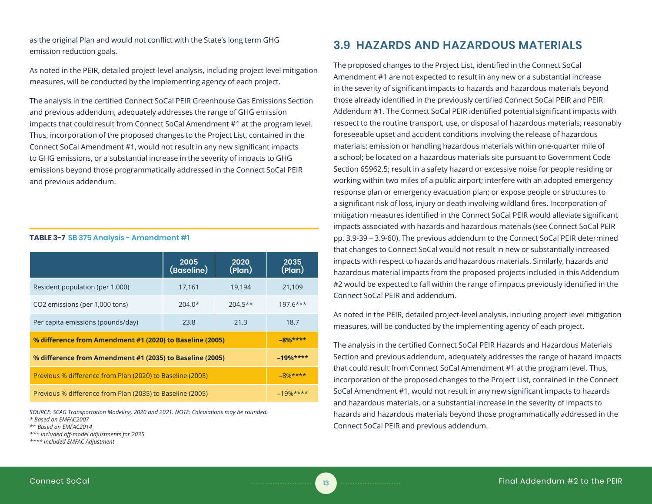as the original Plan and would not conflict with the State's long term GHG emission reduction goals.

As noted in the PEIR, detailed project-level analysis, including project level mitigation measures, will be conducted by the implementing agency of each project.

The analysis in the certified Connect SoCal PEIR Greenhouse Gas Emissions Section and previous addendum, adequately addresses the range of GHG emission impacts that could result from Connect SoCal Amendment #1 at the program level. Thus, incorporation of the proposed changes to the Project List, contained in the Connect SoCal Amendment #1, would not result in any new significant impacts to GHG emissions, or a substantial increase in the severity of impacts to GHG emissions beyond those programmatically addressed in the Connect SoCal PEIR and previous addendum.

|                                                           | 2005<br>(Baseline) | 2020<br>(Plan) | 2035<br>(Plan) |
|-----------------------------------------------------------|--------------------|----------------|----------------|
|                                                           |                    |                |                |
| Resident population (per 1,000)                           | 17,161             | 19,194         | 21,109         |
| CO2 emissions (per 1,000 tons)                            | $204.0*$           | $204.5**$      | $197.6***$     |
|                                                           |                    |                |                |
| Per capita emissions (pounds/day)                         | 23.8               | 21.3           | 18.7           |
| % difference from Amendment #1 (2020) to Baseline (2005)  | $-8%***$           |                |                |
| % difference from Amendment #1 (2035) to Baseline (2005)  | $-19%$ ****        |                |                |
| Previous % difference from Plan (2020) to Baseline (2005) | $-8%***$           |                |                |
| Previous % difference from Plan (2035) to Baseline (2005) | $-19%$ ****        |                |                |

*SOURCE: SCAG Transportation Modeling, 2020 and 2021. NOTE: Calculations may be rounded. \* Based on EMFAC2007*

*\*\* Based on EMFAC2014*

*\*\*\* Included off-model adjustments for 2035*

**TABLE 3-7 SB 375 Analysis - Amendment #1**

*\*\*\*\* Included EMFAC Adjustment*

# **3.9 HAZARDS AND HAZARDOUS MATERIALS**

The proposed changes to the Project List, identified in the Connect SoCal Amendment #1 are not expected to result in any new or a substantial increase in the severity of significant impacts to hazards and hazardous materials beyond those already identified in the previously certified Connect SoCal PEIR and PEIR Addendum #1. The Connect SoCal PEIR identified potential significant impacts with respect to the routine transport, use, or disposal of hazardous materials; reasonably foreseeable upset and accident conditions involving the release of hazardous materials; emission or handling hazardous materials within one-quarter mile of a school; be located on a hazardous materials site pursuant to Government Code Section 65962.5; result in a safety hazard or excessive noise for people residing or working within two miles of a public airport; interfere with an adopted emergency response plan or emergency evacuation plan; or expose people or structures to a significant risk of loss, injury or death involving wildland fires. Incorporation of mitigation measures identified in the Connect SoCal PEIR would alleviate significant impacts associated with hazards and hazardous materials (see Connect SoCal PEIR pp. 3.9-39 – 3.9-60). The previous addendum to the Connect SoCal PEIR determined that changes to Connect SoCal would not result in new or substantially increased impacts with respect to hazards and hazardous materials. Similarly, hazards and hazardous material impacts from the proposed projects included in this Addendum #2 would be expected to fall within the range of impacts previously identified in the Connect SoCal PEIR and addendum.

As noted in the PEIR, detailed project-level analysis, including project level mitigation measures, will be conducted by the implementing agency of each project.

The analysis in the certified Connect SoCal PEIR Hazards and Hazardous Materials Section and previous addendum, adequately addresses the range of hazard impacts that could result from Connect SoCal Amendment #1 at the program level. Thus, incorporation of the proposed changes to the Project List, contained in the Connect SoCal Amendment #1, would not result in any new significant impacts to hazards and hazardous materials, or a substantial increase in the severity of impacts to hazards and hazardous materials beyond those programmatically addressed in the Connect SoCal PEIR and previous addendum.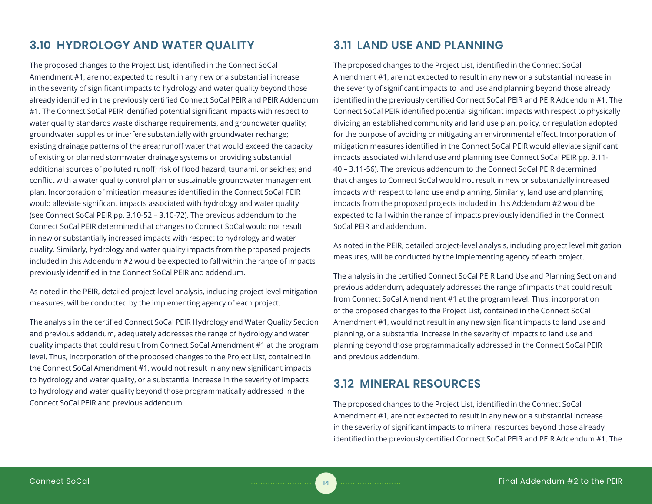# **3.10 HYDROLOGY AND WATER QUALITY**

The proposed changes to the Project List, identified in the Connect SoCal Amendment #1, are not expected to result in any new or a substantial increase in the severity of significant impacts to hydrology and water quality beyond those already identified in the previously certified Connect SoCal PEIR and PEIR Addendum #1. The Connect SoCal PEIR identified potential significant impacts with respect to water quality standards waste discharge requirements, and groundwater quality; groundwater supplies or interfere substantially with groundwater recharge; existing drainage patterns of the area; runoff water that would exceed the capacity of existing or planned stormwater drainage systems or providing substantial additional sources of polluted runoff; risk of flood hazard, tsunami, or seiches; and conflict with a water quality control plan or sustainable groundwater management plan. Incorporation of mitigation measures identified in the Connect SoCal PEIR would alleviate significant impacts associated with hydrology and water quality (see Connect SoCal PEIR pp. 3.10-52 – 3.10-72). The previous addendum to the Connect SoCal PEIR determined that changes to Connect SoCal would not result in new or substantially increased impacts with respect to hydrology and water quality. Similarly, hydrology and water quality impacts from the proposed projects included in this Addendum #2 would be expected to fall within the range of impacts previously identified in the Connect SoCal PEIR and addendum.

As noted in the PEIR, detailed project-level analysis, including project level mitigation measures, will be conducted by the implementing agency of each project.

The analysis in the certified Connect SoCal PEIR Hydrology and Water Quality Section and previous addendum, adequately addresses the range of hydrology and water quality impacts that could result from Connect SoCal Amendment #1 at the program level. Thus, incorporation of the proposed changes to the Project List, contained in the Connect SoCal Amendment #1, would not result in any new significant impacts to hydrology and water quality, or a substantial increase in the severity of impacts to hydrology and water quality beyond those programmatically addressed in the Connect SoCal PEIR and previous addendum.

# **3.11 LAND USE AND PLANNING**

The proposed changes to the Project List, identified in the Connect SoCal Amendment #1, are not expected to result in any new or a substantial increase in the severity of significant impacts to land use and planning beyond those already identified in the previously certified Connect SoCal PEIR and PEIR Addendum #1. The Connect SoCal PEIR identified potential significant impacts with respect to physically dividing an established community and land use plan, policy, or regulation adopted for the purpose of avoiding or mitigating an environmental effect. Incorporation of mitigation measures identified in the Connect SoCal PEIR would alleviate significant impacts associated with land use and planning (see Connect SoCal PEIR pp. 3.11- 40 – 3.11-56). The previous addendum to the Connect SoCal PEIR determined that changes to Connect SoCal would not result in new or substantially increased impacts with respect to land use and planning. Similarly, land use and planning impacts from the proposed projects included in this Addendum #2 would be expected to fall within the range of impacts previously identified in the Connect SoCal PEIR and addendum.

As noted in the PEIR, detailed project-level analysis, including project level mitigation measures, will be conducted by the implementing agency of each project.

The analysis in the certified Connect SoCal PEIR Land Use and Planning Section and previous addendum, adequately addresses the range of impacts that could result from Connect SoCal Amendment #1 at the program level. Thus, incorporation of the proposed changes to the Project List, contained in the Connect SoCal Amendment #1, would not result in any new significant impacts to land use and planning, or a substantial increase in the severity of impacts to land use and planning beyond those programmatically addressed in the Connect SoCal PEIR and previous addendum.

### **3.12 MINERAL RESOURCES**

The proposed changes to the Project List, identified in the Connect SoCal Amendment #1, are not expected to result in any new or a substantial increase in the severity of significant impacts to mineral resources beyond those already identified in the previously certified Connect SoCal PEIR and PEIR Addendum #1. The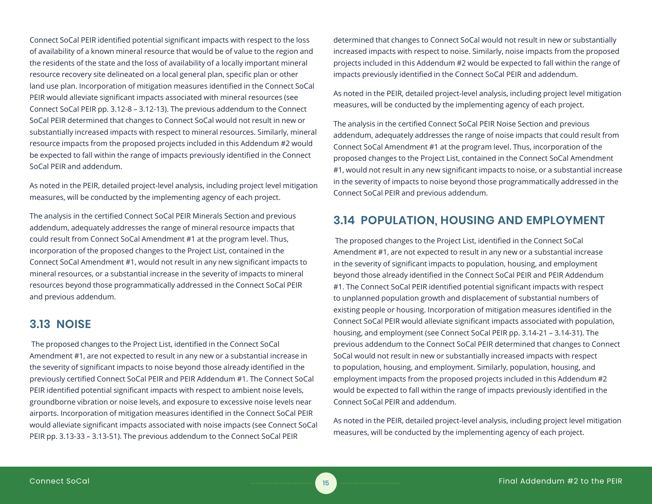Connect SoCal PEIR identified potential significant impacts with respect to the loss of availability of a known mineral resource that would be of value to the region and the residents of the state and the loss of availability of a locally important mineral resource recovery site delineated on a local general plan, specific plan or other land use plan. Incorporation of mitigation measures identified in the Connect SoCal PEIR would alleviate significant impacts associated with mineral resources (see Connect SoCal PEIR pp. 3.12-8 – 3.12-13). The previous addendum to the Connect SoCal PEIR determined that changes to Connect SoCal would not result in new or substantially increased impacts with respect to mineral resources. Similarly, mineral resource impacts from the proposed projects included in this Addendum #2 would be expected to fall within the range of impacts previously identified in the Connect SoCal PEIR and addendum.

As noted in the PEIR, detailed project-level analysis, including project level mitigation measures, will be conducted by the implementing agency of each project.

The analysis in the certified Connect SoCal PEIR Minerals Section and previous addendum, adequately addresses the range of mineral resource impacts that could result from Connect SoCal Amendment #1 at the program level. Thus, incorporation of the proposed changes to the Project List, contained in the Connect SoCal Amendment #1, would not result in any new significant impacts to mineral resources, or a substantial increase in the severity of impacts to mineral resources beyond those programmatically addressed in the Connect SoCal PEIR and previous addendum.

# **3.13 NOISE**

 The proposed changes to the Project List, identified in the Connect SoCal Amendment #1, are not expected to result in any new or a substantial increase in the severity of significant impacts to noise beyond those already identified in the previously certified Connect SoCal PEIR and PEIR Addendum #1. The Connect SoCal PEIR identified potential significant impacts with respect to ambient noise levels, groundborne vibration or noise levels, and exposure to excessive noise levels near airports. Incorporation of mitigation measures identified in the Connect SoCal PEIR would alleviate significant impacts associated with noise impacts (see Connect SoCal PEIR pp. 3.13-33 – 3.13-51). The previous addendum to the Connect SoCal PEIR

determined that changes to Connect SoCal would not result in new or substantially increased impacts with respect to noise. Similarly, noise impacts from the proposed projects included in this Addendum #2 would be expected to fall within the range of impacts previously identified in the Connect SoCal PEIR and addendum.

As noted in the PEIR, detailed project-level analysis, including project level mitigation measures, will be conducted by the implementing agency of each project.

The analysis in the certified Connect SoCal PEIR Noise Section and previous addendum, adequately addresses the range of noise impacts that could result from Connect SoCal Amendment #1 at the program level. Thus, incorporation of the proposed changes to the Project List, contained in the Connect SoCal Amendment #1, would not result in any new significant impacts to noise, or a substantial increase in the severity of impacts to noise beyond those programmatically addressed in the Connect SoCal PEIR and previous addendum.

# **3.14 POPULATION, HOUSING AND EMPLOYMENT**

 The proposed changes to the Project List, identified in the Connect SoCal Amendment #1, are not expected to result in any new or a substantial increase in the severity of significant impacts to population, housing, and employment beyond those already identified in the Connect SoCal PEIR and PEIR Addendum #1. The Connect SoCal PEIR identified potential significant impacts with respect to unplanned population growth and displacement of substantial numbers of existing people or housing. Incorporation of mitigation measures identified in the Connect SoCal PEIR would alleviate significant impacts associated with population, housing, and employment (see Connect SoCal PEIR pp. 3.14-21 – 3.14-31). The previous addendum to the Connect SoCal PEIR determined that changes to Connect SoCal would not result in new or substantially increased impacts with respect to population, housing, and employment. Similarly, population, housing, and employment impacts from the proposed projects included in this Addendum #2 would be expected to fall within the range of impacts previously identified in the Connect SoCal PEIR and addendum.

As noted in the PEIR, detailed project-level analysis, including project level mitigation measures, will be conducted by the implementing agency of each project.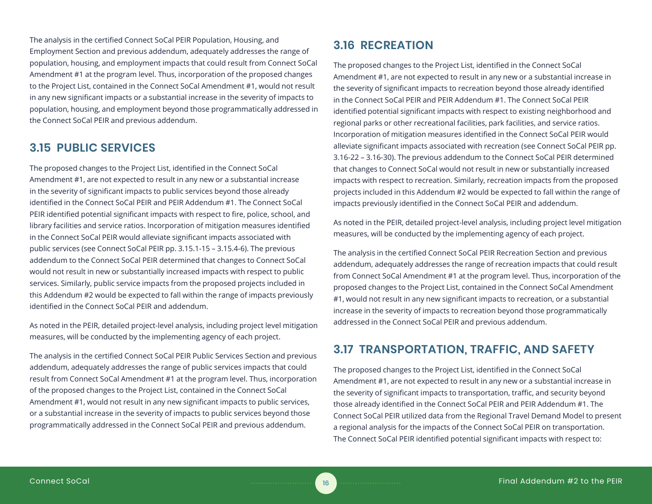The analysis in the certified Connect SoCal PEIR Population, Housing, and Employment Section and previous addendum, adequately addresses the range of population, housing, and employment impacts that could result from Connect SoCal Amendment #1 at the program level. Thus, incorporation of the proposed changes to the Project List, contained in the Connect SoCal Amendment #1, would not result in any new significant impacts or a substantial increase in the severity of impacts to population, housing, and employment beyond those programmatically addressed in the Connect SoCal PEIR and previous addendum.

# **3.15 PUBLIC SERVICES**

The proposed changes to the Project List, identified in the Connect SoCal Amendment #1, are not expected to result in any new or a substantial increase in the severity of significant impacts to public services beyond those already identified in the Connect SoCal PEIR and PEIR Addendum #1. The Connect SoCal PEIR identified potential significant impacts with respect to fire, police, school, and library facilities and service ratios. Incorporation of mitigation measures identified in the Connect SoCal PEIR would alleviate significant impacts associated with public services (see Connect SoCal PEIR pp. 3.15.1-15 – 3.15.4-6). The previous addendum to the Connect SoCal PEIR determined that changes to Connect SoCal would not result in new or substantially increased impacts with respect to public services. Similarly, public service impacts from the proposed projects included in this Addendum #2 would be expected to fall within the range of impacts previously identified in the Connect SoCal PEIR and addendum.

As noted in the PEIR, detailed project-level analysis, including project level mitigation measures, will be conducted by the implementing agency of each project.

The analysis in the certified Connect SoCal PEIR Public Services Section and previous addendum, adequately addresses the range of public services impacts that could result from Connect SoCal Amendment #1 at the program level. Thus, incorporation of the proposed changes to the Project List, contained in the Connect SoCal Amendment #1, would not result in any new significant impacts to public services, or a substantial increase in the severity of impacts to public services beyond those programmatically addressed in the Connect SoCal PEIR and previous addendum.

# **3.16 RECREATION**

The proposed changes to the Project List, identified in the Connect SoCal Amendment #1, are not expected to result in any new or a substantial increase in the severity of significant impacts to recreation beyond those already identified in the Connect SoCal PEIR and PEIR Addendum #1. The Connect SoCal PEIR identified potential significant impacts with respect to existing neighborhood and regional parks or other recreational facilities, park facilities, and service ratios. Incorporation of mitigation measures identified in the Connect SoCal PEIR would alleviate significant impacts associated with recreation (see Connect SoCal PEIR pp. 3.16-22 – 3.16-30). The previous addendum to the Connect SoCal PEIR determined that changes to Connect SoCal would not result in new or substantially increased impacts with respect to recreation. Similarly, recreation impacts from the proposed projects included in this Addendum #2 would be expected to fall within the range of impacts previously identified in the Connect SoCal PEIR and addendum.

As noted in the PEIR, detailed project-level analysis, including project level mitigation measures, will be conducted by the implementing agency of each project.

The analysis in the certified Connect SoCal PEIR Recreation Section and previous addendum, adequately addresses the range of recreation impacts that could result from Connect SoCal Amendment #1 at the program level. Thus, incorporation of the proposed changes to the Project List, contained in the Connect SoCal Amendment #1, would not result in any new significant impacts to recreation, or a substantial increase in the severity of impacts to recreation beyond those programmatically addressed in the Connect SoCal PEIR and previous addendum.

# **3.17 TRANSPORTATION, TRAFFIC, AND SAFETY**

The proposed changes to the Project List, identified in the Connect SoCal Amendment #1, are not expected to result in any new or a substantial increase in the severity of significant impacts to transportation, traffic, and security beyond those already identified in the Connect SoCal PEIR and PEIR Addendum #1. The Connect SoCal PEIR utilized data from the Regional Travel Demand Model to present a regional analysis for the impacts of the Connect SoCal PEIR on transportation. The Connect SoCal PEIR identified potential significant impacts with respect to: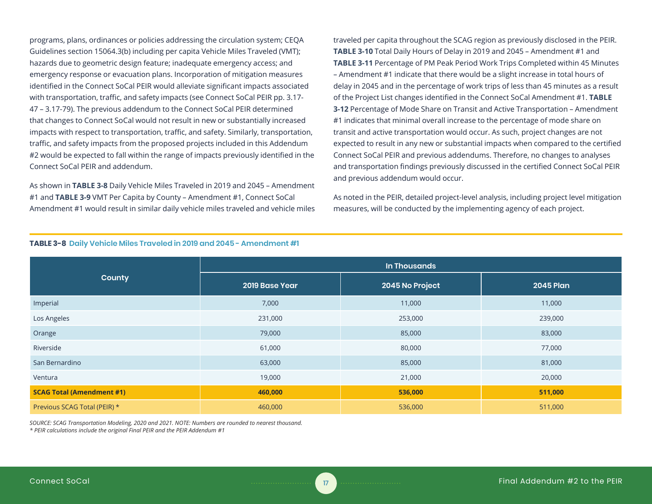programs, plans, ordinances or policies addressing the circulation system; CEQA Guidelines section 15064.3(b) including per capita Vehicle Miles Traveled (VMT); hazards due to geometric design feature; inadequate emergency access; and emergency response or evacuation plans. Incorporation of mitigation measures identified in the Connect SoCal PEIR would alleviate significant impacts associated with transportation, traffic, and safety impacts (see Connect SoCal PEIR pp. 3.17- 47 – 3.17-79). The previous addendum to the Connect SoCal PEIR determined that changes to Connect SoCal would not result in new or substantially increased impacts with respect to transportation, traffic, and safety. Similarly, transportation, traffic, and safety impacts from the proposed projects included in this Addendum #2 would be expected to fall within the range of impacts previously identified in the Connect SoCal PEIR and addendum.

As shown in **TABLE 3-8** Daily Vehicle Miles Traveled in 2019 and 2045 – Amendment #1 and **TABLE 3-9** VMT Per Capita by County – Amendment #1, Connect SoCal Amendment #1 would result in similar daily vehicle miles traveled and vehicle miles

traveled per capita throughout the SCAG region as previously disclosed in the PEIR. **TABLE 3-10** Total Daily Hours of Delay in 2019 and 2045 – Amendment #1 and **TABLE 3-11** Percentage of PM Peak Period Work Trips Completed within 45 Minutes – Amendment #1 indicate that there would be a slight increase in total hours of delay in 2045 and in the percentage of work trips of less than 45 minutes as a result of the Project List changes identified in the Connect SoCal Amendment #1. **TABLE 3-12** Percentage of Mode Share on Transit and Active Transportation – Amendment #1 indicates that minimal overall increase to the percentage of mode share on transit and active transportation would occur. As such, project changes are not expected to result in any new or substantial impacts when compared to the certified Connect SoCal PEIR and previous addendums. Therefore, no changes to analyses and transportation findings previously discussed in the certified Connect SoCal PEIR and previous addendum would occur.

As noted in the PEIR, detailed project-level analysis, including project level mitigation measures, will be conducted by the implementing agency of each project.

|                                  | In Thousands   |                 |                  |  |  |  |
|----------------------------------|----------------|-----------------|------------------|--|--|--|
| County                           | 2019 Base Year | 2045 No Project | <b>2045 Plan</b> |  |  |  |
| Imperial                         | 7,000          | 11,000          | 11,000           |  |  |  |
| Los Angeles                      | 231,000        | 253,000         | 239,000          |  |  |  |
| Orange                           | 79,000         | 85,000          | 83,000           |  |  |  |
| Riverside                        | 61,000         | 80,000          | 77,000           |  |  |  |
| San Bernardino                   | 63,000         | 85,000          | 81,000           |  |  |  |
| Ventura                          | 19,000         | 21,000          | 20,000           |  |  |  |
| <b>SCAG Total (Amendment #1)</b> | 460,000        | 536,000         | 511,000          |  |  |  |
| Previous SCAG Total (PEIR) *     | 460,000        | 536,000         | 511,000          |  |  |  |

#### **TABLE 3-8 Daily Vehicle Miles Traveled in 2019 and 2045 - Amendment #1**

*SOURCE: SCAG Transportation Modeling, 2020 and 2021. NOTE: Numbers are rounded to nearest thousand.*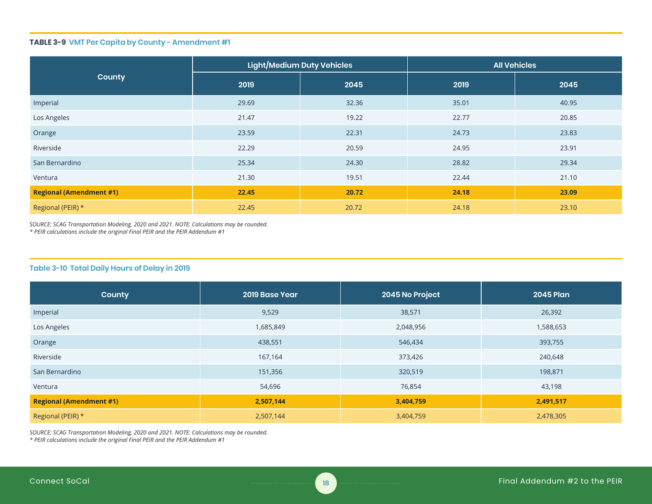#### **TABLE 3-9 VMT Per Capita by County - Amendment #1**

|                                |       | Light/Medium Duty Vehicles | <b>All Vehicles</b> |       |  |
|--------------------------------|-------|----------------------------|---------------------|-------|--|
| County                         | 2019  | 2045                       | 2019                | 2045  |  |
| Imperial                       | 29.69 | 32.36                      | 35.01               | 40.95 |  |
| Los Angeles                    | 21.47 | 19.22                      | 22.77               | 20.85 |  |
| Orange                         | 23.59 | 22.31                      | 24.73               | 23.83 |  |
| Riverside                      | 22.29 | 20.59                      | 24.95               | 23.91 |  |
| San Bernardino                 | 25.34 | 24.30                      | 28.82               | 29.34 |  |
| Ventura                        | 21.30 | 19.51                      | 22.44               | 21.10 |  |
| <b>Regional (Amendment #1)</b> | 22.45 | 20.72                      | 24.18               | 23.09 |  |
| Regional (PEIR) *              | 22.45 | 20.72                      | 24.18               | 23.10 |  |

*SOURCE: SCAG Transportation Modeling, 2020 and 2021. NOTE: Calculations may be rounded. \* PEIR calculations include the original Final PEIR and the PEIR Addendum #1*

#### **Table 3-10 Total Daily Hours of Delay in 2019**

| County                         | 2019 Base Year | 2045 No Project | <b>2045 Plan</b> |
|--------------------------------|----------------|-----------------|------------------|
| Imperial                       | 9,529          | 38,571          | 26,392           |
| Los Angeles                    | 1,685,849      | 2,048,956       | 1,588,653        |
| Orange                         | 438,551        | 546,434         | 393,755          |
| Riverside                      | 167,164        | 373,426         | 240,648          |
| San Bernardino                 | 151,356        | 320,519         | 198,871          |
| Ventura                        | 54,696         | 76,854          | 43,198           |
| <b>Regional (Amendment #1)</b> | 2,507,144      | 3,404,759       | 2,491,517        |
| Regional (PEIR) *              | 2,507,144      | 3,404,759       | 2,478,305        |

*SOURCE: SCAG Transportation Modeling, 2020 and 2021. NOTE: Calculations may be rounded. \* PEIR calculations include the original Final PEIR and the PEIR Addendum #1*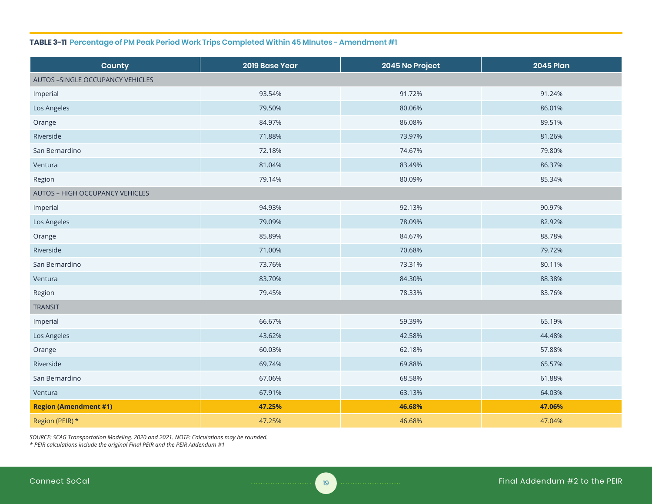#### **TABLE 3-11 Percentage of PM Peak Period Work Trips Completed Within 45 MInutes - Amendment #1**

| County                            | 2019 Base Year | 2045 No Project | <b>2045 Plan</b> |
|-----------------------------------|----------------|-----------------|------------------|
| AUTOS - SINGLE OCCUPANCY VEHICLES |                |                 |                  |
| Imperial                          | 93.54%         | 91.72%          | 91.24%           |
| Los Angeles                       | 79.50%         | 80.06%          | 86.01%           |
| Orange                            | 84.97%         | 86.08%          | 89.51%           |
| Riverside                         | 71.88%         | 73.97%          | 81.26%           |
| San Bernardino                    | 72.18%         | 74.67%          | 79.80%           |
| Ventura                           | 81.04%         | 83.49%          | 86.37%           |
| Region                            | 79.14%         | 80.09%          | 85.34%           |
| AUTOS - HIGH OCCUPANCY VEHICLES   |                |                 |                  |
| Imperial                          | 94.93%         | 92.13%          | 90.97%           |
| Los Angeles                       | 79.09%         | 78.09%          | 82.92%           |
| Orange                            | 85.89%         | 84.67%          | 88.78%           |
| Riverside                         | 71.00%         | 70.68%          | 79.72%           |
| San Bernardino                    | 73.76%         | 73.31%          | 80.11%           |
| Ventura                           | 83.70%         | 84.30%          | 88.38%           |
| Region                            | 79.45%         | 78.33%          | 83.76%           |
| <b>TRANSIT</b>                    |                |                 |                  |
| Imperial                          | 66.67%         | 59.39%          | 65.19%           |
| Los Angeles                       | 43.62%         | 42.58%          | 44.48%           |
| Orange                            | 60.03%         | 62.18%          | 57.88%           |
| Riverside                         | 69.74%         | 69.88%          | 65.57%           |
| San Bernardino                    | 67.06%         | 68.58%          | 61.88%           |
| Ventura                           | 67.91%         | 63.13%          | 64.03%           |
| <b>Region (Amendment #1)</b>      | 47.25%         | 46.68%          | 47.06%           |
| Region (PEIR) *                   | 47.25%         | 46.68%          | 47.04%           |

*SOURCE: SCAG Transportation Modeling, 2020 and 2021. NOTE: Calculations may be rounded.*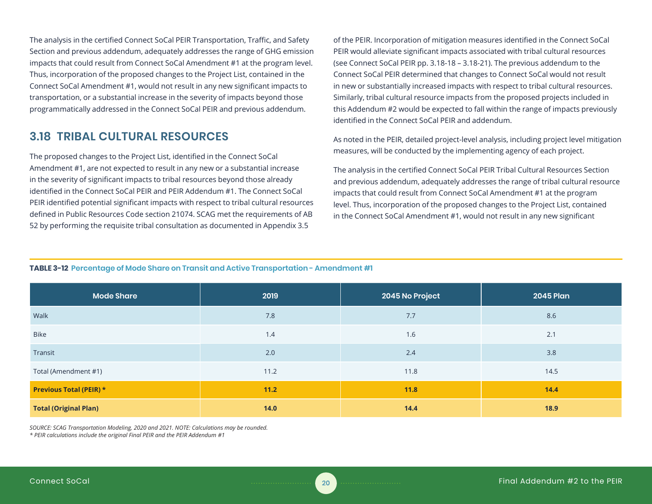The analysis in the certified Connect SoCal PEIR Transportation, Traffic, and Safety Section and previous addendum, adequately addresses the range of GHG emission impacts that could result from Connect SoCal Amendment #1 at the program level. Thus, incorporation of the proposed changes to the Project List, contained in the Connect SoCal Amendment #1, would not result in any new significant impacts to transportation, or a substantial increase in the severity of impacts beyond those programmatically addressed in the Connect SoCal PEIR and previous addendum.

# **3.18 TRIBAL CULTURAL RESOURCES**

The proposed changes to the Project List, identified in the Connect SoCal Amendment #1, are not expected to result in any new or a substantial increase in the severity of significant impacts to tribal resources beyond those already identified in the Connect SoCal PEIR and PEIR Addendum #1. The Connect SoCal PEIR identified potential significant impacts with respect to tribal cultural resources defined in Public Resources Code section 21074. SCAG met the requirements of AB 52 by performing the requisite tribal consultation as documented in Appendix 3.5

of the PEIR. Incorporation of mitigation measures identified in the Connect SoCal PEIR would alleviate significant impacts associated with tribal cultural resources (see Connect SoCal PEIR pp. 3.18-18 – 3.18-21). The previous addendum to the Connect SoCal PEIR determined that changes to Connect SoCal would not result in new or substantially increased impacts with respect to tribal cultural resources. Similarly, tribal cultural resource impacts from the proposed projects included in this Addendum #2 would be expected to fall within the range of impacts previously identified in the Connect SoCal PEIR and addendum.

As noted in the PEIR, detailed project-level analysis, including project level mitigation measures, will be conducted by the implementing agency of each project.

The analysis in the certified Connect SoCal PEIR Tribal Cultural Resources Section and previous addendum, adequately addresses the range of tribal cultural resource impacts that could result from Connect SoCal Amendment #1 at the program level. Thus, incorporation of the proposed changes to the Project List, contained in the Connect SoCal Amendment #1, would not result in any new significant

#### **TABLE 3-12 Percentage of Mode Share on Transit and Active Transportation - Amendment #1**

| <b>Mode Share</b>              | 2019 | 2045 No Project | <b>2045 Plan</b> |  |
|--------------------------------|------|-----------------|------------------|--|
| Walk                           | 7.8  | 7.7             | 8.6              |  |
| Bike                           | 1.4  | 1.6             | 2.1              |  |
| Transit                        | 2.0  | 2.4             | 3.8              |  |
| Total (Amendment #1)           | 11.2 | 11.8            | 14.5             |  |
| <b>Previous Total (PEIR) *</b> | 11.2 | 11.8            | 14.4             |  |
| <b>Total (Original Plan)</b>   | 14.0 | 14.4            | 18.9             |  |

*SOURCE: SCAG Transportation Modeling, 2020 and 2021. NOTE: Calculations may be rounded.*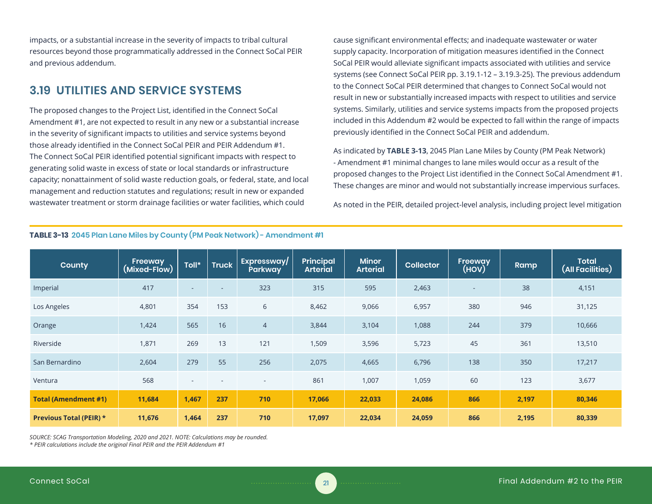impacts, or a substantial increase in the severity of impacts to tribal cultural resources beyond those programmatically addressed in the Connect SoCal PEIR and previous addendum.

# **3.19 UTILITIES AND SERVICE SYSTEMS**

The proposed changes to the Project List, identified in the Connect SoCal Amendment #1, are not expected to result in any new or a substantial increase in the severity of significant impacts to utilities and service systems beyond those already identified in the Connect SoCal PEIR and PEIR Addendum #1. The Connect SoCal PEIR identified potential significant impacts with respect to generating solid waste in excess of state or local standards or infrastructure capacity; nonattainment of solid waste reduction goals, or federal, state, and local management and reduction statutes and regulations; result in new or expanded wastewater treatment or storm drainage facilities or water facilities, which could

cause significant environmental effects; and inadequate wastewater or water supply capacity. Incorporation of mitigation measures identified in the Connect SoCal PEIR would alleviate significant impacts associated with utilities and service systems (see Connect SoCal PEIR pp. 3.19.1-12 – 3.19.3-25). The previous addendum to the Connect SoCal PEIR determined that changes to Connect SoCal would not result in new or substantially increased impacts with respect to utilities and service systems. Similarly, utilities and service systems impacts from the proposed projects included in this Addendum #2 would be expected to fall within the range of impacts previously identified in the Connect SoCal PEIR and addendum.

As indicated by **TABLE 3-13**, 2045 Plan Lane Miles by County (PM Peak Network) - Amendment #1 minimal changes to lane miles would occur as a result of the proposed changes to the Project List identified in the Connect SoCal Amendment #1. These changes are minor and would not substantially increase impervious surfaces.

As noted in the PEIR, detailed project-level analysis, including project level mitigation

| <b>County</b>                  | Freeway<br>(Mixed-Flow) | Toll*  | <b>Truck</b>             | Expressway/<br>Parkway   | <b>Principal</b><br><b>Arterial</b> | <b>Minor</b><br><b>Arterial</b> | <b>Collector</b> | Freeway<br>(HOV) | Ramp  | <b>Total</b><br>(All Facilities) |
|--------------------------------|-------------------------|--------|--------------------------|--------------------------|-------------------------------------|---------------------------------|------------------|------------------|-------|----------------------------------|
| Imperial                       | 417                     | $\sim$ | $\sim$                   | 323                      | 315                                 | 595                             | 2,463            | ٠                | 38    | 4,151                            |
| Los Angeles                    | 4,801                   | 354    | 153                      | 6                        | 8,462                               | 9,066                           | 6,957            | 380              | 946   | 31,125                           |
| Orange                         | 1,424                   | 565    | 16                       | $\overline{4}$           | 3,844                               | 3,104                           | 1,088            | 244              | 379   | 10,666                           |
| Riverside                      | 1,871                   | 269    | 13                       | 121                      | 1,509                               | 3,596                           | 5,723            | 45               | 361   | 13,510                           |
| San Bernardino                 | 2,604                   | 279    | 55                       | 256                      | 2,075                               | 4,665                           | 6,796            | 138              | 350   | 17,217                           |
| Ventura                        | 568                     | ٠      | $\overline{\phantom{a}}$ | $\overline{\phantom{a}}$ | 861                                 | 1,007                           | 1,059            | 60               | 123   | 3,677                            |
| <b>Total (Amendment #1)</b>    | 11,684                  | 1,467  | 237                      | 710                      | 17,066                              | 22,033                          | 24,086           | 866              | 2,197 | 80,346                           |
| <b>Previous Total (PEIR) *</b> | 11,676                  | 1,464  | 237                      | 710                      | 17,097                              | 22,034                          | 24,059           | 866              | 2,195 | 80,339                           |

#### **TABLE 3-13 2045 Plan Lane Miles by County (PM Peak Network) - Amendment #1**

*SOURCE: SCAG Transportation Modeling, 2020 and 2021. NOTE: Calculations may be rounded.*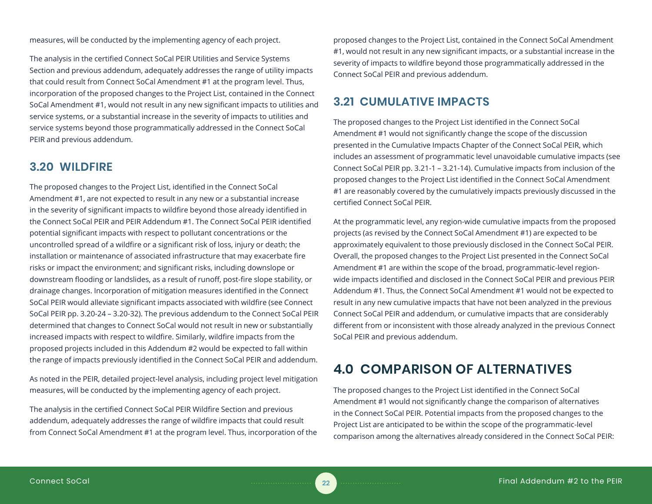measures, will be conducted by the implementing agency of each project.

The analysis in the certified Connect SoCal PEIR Utilities and Service Systems Section and previous addendum, adequately addresses the range of utility impacts that could result from Connect SoCal Amendment #1 at the program level. Thus, incorporation of the proposed changes to the Project List, contained in the Connect SoCal Amendment #1, would not result in any new significant impacts to utilities and service systems, or a substantial increase in the severity of impacts to utilities and service systems beyond those programmatically addressed in the Connect SoCal PEIR and previous addendum.

# **3.20 WILDFIRE**

The proposed changes to the Project List, identified in the Connect SoCal Amendment #1, are not expected to result in any new or a substantial increase in the severity of significant impacts to wildfire beyond those already identified in the Connect SoCal PEIR and PEIR Addendum #1. The Connect SoCal PEIR identified potential significant impacts with respect to pollutant concentrations or the uncontrolled spread of a wildfire or a significant risk of loss, injury or death; the installation or maintenance of associated infrastructure that may exacerbate fire risks or impact the environment; and significant risks, including downslope or downstream flooding or landslides, as a result of runoff, post-fire slope stability, or drainage changes. Incorporation of mitigation measures identified in the Connect SoCal PEIR would alleviate significant impacts associated with wildfire (see Connect SoCal PEIR pp. 3.20-24 – 3.20-32). The previous addendum to the Connect SoCal PEIR determined that changes to Connect SoCal would not result in new or substantially increased impacts with respect to wildfire. Similarly, wildfire impacts from the proposed projects included in this Addendum #2 would be expected to fall within the range of impacts previously identified in the Connect SoCal PEIR and addendum.

As noted in the PEIR, detailed project-level analysis, including project level mitigation measures, will be conducted by the implementing agency of each project.

The analysis in the certified Connect SoCal PEIR Wildfire Section and previous addendum, adequately addresses the range of wildfire impacts that could result from Connect SoCal Amendment #1 at the program level. Thus, incorporation of the

proposed changes to the Project List, contained in the Connect SoCal Amendment #1, would not result in any new significant impacts, or a substantial increase in the severity of impacts to wildfire beyond those programmatically addressed in the Connect SoCal PEIR and previous addendum.

# **3.21 CUMULATIVE IMPACTS**

The proposed changes to the Project List identified in the Connect SoCal Amendment #1 would not significantly change the scope of the discussion presented in the Cumulative Impacts Chapter of the Connect SoCal PEIR, which includes an assessment of programmatic level unavoidable cumulative impacts (see Connect SoCal PEIR pp. 3.21-1 – 3.21-14). Cumulative impacts from inclusion of the proposed changes to the Project List identified in the Connect SoCal Amendment #1 are reasonably covered by the cumulatively impacts previously discussed in the certified Connect SoCal PEIR.

At the programmatic level, any region-wide cumulative impacts from the proposed projects (as revised by the Connect SoCal Amendment #1) are expected to be approximately equivalent to those previously disclosed in the Connect SoCal PEIR. Overall, the proposed changes to the Project List presented in the Connect SoCal Amendment #1 are within the scope of the broad, programmatic-level regionwide impacts identified and disclosed in the Connect SoCal PEIR and previous PEIR Addendum #1. Thus, the Connect SoCal Amendment #1 would not be expected to result in any new cumulative impacts that have not been analyzed in the previous Connect SoCal PEIR and addendum, or cumulative impacts that are considerably different from or inconsistent with those already analyzed in the previous Connect SoCal PEIR and previous addendum.

# **4.0 COMPARISON OF ALTERNATIVES**

The proposed changes to the Project List identified in the Connect SoCal Amendment #1 would not significantly change the comparison of alternatives in the Connect SoCal PEIR. Potential impacts from the proposed changes to the Project List are anticipated to be within the scope of the programmatic-level comparison among the alternatives already considered in the Connect SoCal PEIR: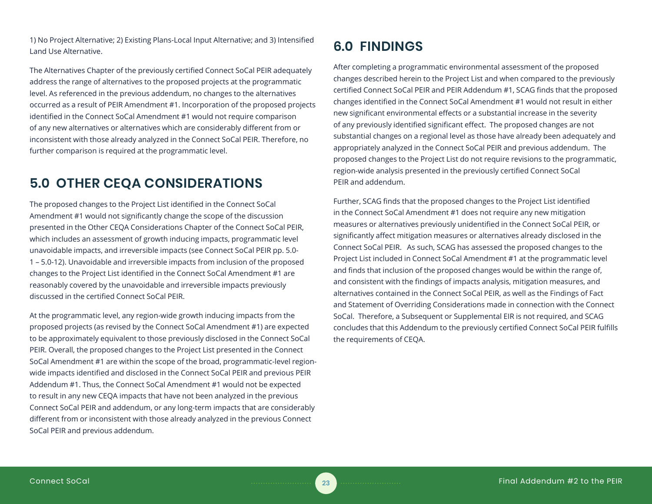1) No Project Alternative; 2) Existing Plans-Local Input Alternative; and 3) Intensified Land Use Alternative.

The Alternatives Chapter of the previously certified Connect SoCal PEIR adequately address the range of alternatives to the proposed projects at the programmatic level. As referenced in the previous addendum, no changes to the alternatives occurred as a result of PEIR Amendment #1. Incorporation of the proposed projects identified in the Connect SoCal Amendment #1 would not require comparison of any new alternatives or alternatives which are considerably different from or inconsistent with those already analyzed in the Connect SoCal PEIR. Therefore, no further comparison is required at the programmatic level.

# **5.0 OTHER CEQA CONSIDERATIONS**

The proposed changes to the Project List identified in the Connect SoCal Amendment #1 would not significantly change the scope of the discussion presented in the Other CEQA Considerations Chapter of the Connect SoCal PEIR, which includes an assessment of growth inducing impacts, programmatic level unavoidable impacts, and irreversible impacts (see Connect SoCal PEIR pp. 5.0- 1 – 5.0-12). Unavoidable and irreversible impacts from inclusion of the proposed changes to the Project List identified in the Connect SoCal Amendment #1 are reasonably covered by the unavoidable and irreversible impacts previously discussed in the certified Connect SoCal PEIR.

At the programmatic level, any region-wide growth inducing impacts from the proposed projects (as revised by the Connect SoCal Amendment #1) are expected to be approximately equivalent to those previously disclosed in the Connect SoCal PEIR. Overall, the proposed changes to the Project List presented in the Connect SoCal Amendment #1 are within the scope of the broad, programmatic-level regionwide impacts identified and disclosed in the Connect SoCal PEIR and previous PEIR Addendum #1. Thus, the Connect SoCal Amendment #1 would not be expected to result in any new CEQA impacts that have not been analyzed in the previous Connect SoCal PEIR and addendum, or any long-term impacts that are considerably different from or inconsistent with those already analyzed in the previous Connect SoCal PEIR and previous addendum.

# **6.0 FINDINGS**

After completing a programmatic environmental assessment of the proposed changes described herein to the Project List and when compared to the previously certified Connect SoCal PEIR and PEIR Addendum #1, SCAG finds that the proposed changes identified in the Connect SoCal Amendment #1 would not result in either new significant environmental effects or a substantial increase in the severity of any previously identified significant effect. The proposed changes are not substantial changes on a regional level as those have already been adequately and appropriately analyzed in the Connect SoCal PEIR and previous addendum. The proposed changes to the Project List do not require revisions to the programmatic, region-wide analysis presented in the previously certified Connect SoCal PEIR and addendum.

Further, SCAG finds that the proposed changes to the Project List identified in the Connect SoCal Amendment #1 does not require any new mitigation measures or alternatives previously unidentified in the Connect SoCal PEIR, or significantly affect mitigation measures or alternatives already disclosed in the Connect SoCal PEIR. As such, SCAG has assessed the proposed changes to the Project List included in Connect SoCal Amendment #1 at the programmatic level and finds that inclusion of the proposed changes would be within the range of, and consistent with the findings of impacts analysis, mitigation measures, and alternatives contained in the Connect SoCal PEIR, as well as the Findings of Fact and Statement of Overriding Considerations made in connection with the Connect SoCal. Therefore, a Subsequent or Supplemental EIR is not required, and SCAG concludes that this Addendum to the previously certified Connect SoCal PEIR fulfills the requirements of CEQA.